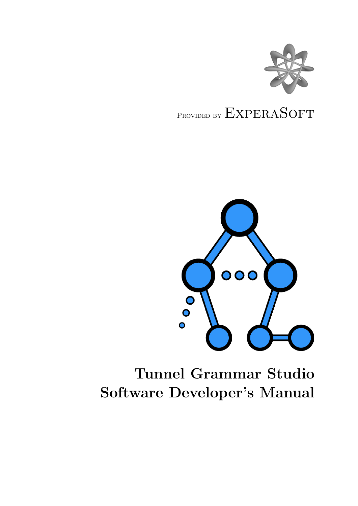

# PROVIDED BY EXPERASOFT



# Tunnel Grammar Studio Software Developer's Manual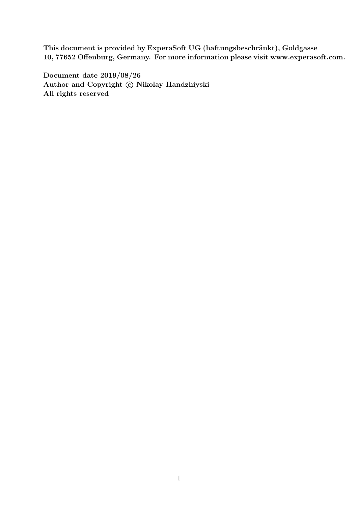This document is provided by ExperaSoft UG (haftungsbeschränkt), Goldgasse 10, 77652 Offenburg, Germany. For more information please visit www.experasoft.com.

Document date 2019/08/26 Author and Copyright  $\odot$  Nikolay Handzhiyski All rights reserved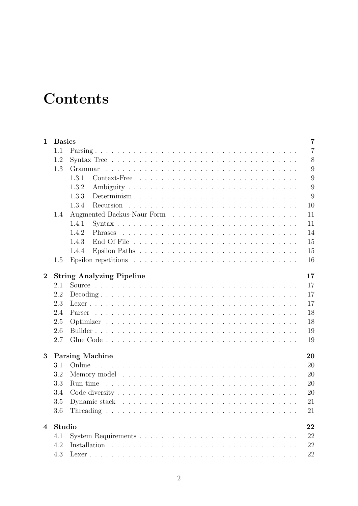# **Contents**

| $\mathbf{1}$   | <b>Basics</b> |                                                                                                     | $\overline{7}$ |
|----------------|---------------|-----------------------------------------------------------------------------------------------------|----------------|
|                | 1.1           |                                                                                                     | $\overline{7}$ |
|                | 1.2           |                                                                                                     | 8              |
|                | 1.3           |                                                                                                     | 9              |
|                |               | 1.3.1                                                                                               | 9              |
|                |               | 1.3.2                                                                                               | 9              |
|                |               | 1.3.3                                                                                               | 9              |
|                |               | 1.3.4                                                                                               | 10             |
|                | 1.4           |                                                                                                     | 11             |
|                |               | 1.4.1                                                                                               | 11             |
|                |               | 1.4.2                                                                                               | 14             |
|                |               | 1.4.3                                                                                               | 15             |
|                |               | 1.4.4                                                                                               | 15             |
|                | 1.5           | Epsilon repetitions $\ldots \ldots \ldots \ldots \ldots \ldots \ldots \ldots \ldots \ldots$         | 16             |
| $\overline{2}$ |               | <b>String Analyzing Pipeline</b>                                                                    | 17             |
|                | 2.1           |                                                                                                     | 17             |
|                | 2.2           |                                                                                                     | 17             |
|                | 2.3           |                                                                                                     | 17             |
|                | 2.4           |                                                                                                     | 18             |
|                | 2.5           |                                                                                                     | 18             |
|                | 2.6           |                                                                                                     | 19             |
|                | 2.7           |                                                                                                     | 19             |
| 3              |               | <b>Parsing Machine</b>                                                                              | 20             |
|                | 3.1           |                                                                                                     | 20             |
|                | 3.2           |                                                                                                     | 20             |
|                | 3.3           | Run time                                                                                            | 20             |
|                | 3.4           |                                                                                                     | 20             |
|                | 3.5           | Dynamic stack $\ldots \ldots \ldots \ldots \ldots \ldots \ldots \ldots \ldots \ldots \ldots \ldots$ | 21             |
|                | 3.6           |                                                                                                     | 21             |
| $\overline{4}$ | Studio        |                                                                                                     | 22             |
|                | 4.1           |                                                                                                     | 22             |
|                | 4.2           |                                                                                                     | 22             |
|                | 4.3           |                                                                                                     | 22             |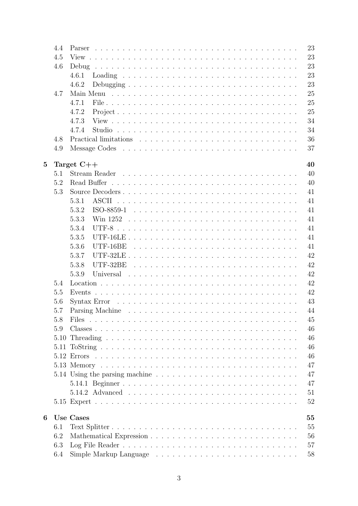|   | 4.4  | 23                                                                                                 |
|---|------|----------------------------------------------------------------------------------------------------|
|   | 4.5  | 23                                                                                                 |
|   | 4.6  | 23<br>Debug                                                                                        |
|   |      | 23<br>4.6.1                                                                                        |
|   |      | 23<br>4.6.2                                                                                        |
|   | 4.7  | 25                                                                                                 |
|   |      | 25<br>4.7.1                                                                                        |
|   |      | 25<br>4.7.2                                                                                        |
|   |      | 34<br>4.7.3                                                                                        |
|   |      | 34<br>4.7.4                                                                                        |
|   | 4.8  | 36                                                                                                 |
|   | 4.9  | 37                                                                                                 |
|   |      |                                                                                                    |
| 5 |      | Target $C++$<br>40                                                                                 |
|   | 5.1  | 40                                                                                                 |
|   | 5.2  | Read Buffer<br>40                                                                                  |
|   | 5.3  | 41<br>Source Decoders                                                                              |
|   |      | 5.3.1<br><b>ASCII</b><br>41                                                                        |
|   |      | 5.3.2<br>ISO-8859-1<br>41                                                                          |
|   |      | 5.3.3<br>41                                                                                        |
|   |      | 5.3.4<br>41                                                                                        |
|   |      | 5.3.5<br>41                                                                                        |
|   |      | 5.3.6<br>41<br>$UTF-16BE$                                                                          |
|   |      | 42<br>5.3.7                                                                                        |
|   |      | 5.3.8<br>42<br>UTF-32BE                                                                            |
|   |      | 42<br>5.3.9                                                                                        |
|   | 5.4  | 42                                                                                                 |
|   | 5.5  | 42                                                                                                 |
|   | 5.6  | 43<br>Syntax Error $\dots \dots \dots \dots \dots \dots \dots \dots \dots \dots \dots \dots \dots$ |
|   | 5.7  | 44                                                                                                 |
|   | 5.8  | 45<br>Files                                                                                        |
|   | 5.9  | 46                                                                                                 |
|   | 5.10 | 46                                                                                                 |
|   |      | 46                                                                                                 |
|   |      | 46                                                                                                 |
|   |      | 47                                                                                                 |
|   |      | 47                                                                                                 |
|   |      | 47                                                                                                 |
|   |      |                                                                                                    |
|   |      | 51                                                                                                 |
|   |      | 52                                                                                                 |
| 6 |      | <b>Use Cases</b><br>55                                                                             |
|   | 6.1  | 55                                                                                                 |
|   | 6.2  | 56                                                                                                 |
|   | 6.3  | 57                                                                                                 |
|   | 6.4  | 58                                                                                                 |
|   |      |                                                                                                    |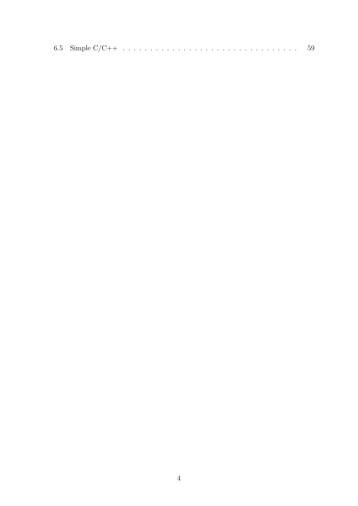|--|--|--|--|--|--|--|--|--|--|--|--|--|--|--|--|--|--|--|--|--|--|--|--|--|--|--|--|--|--|--|--|--|--|--|--|--|--|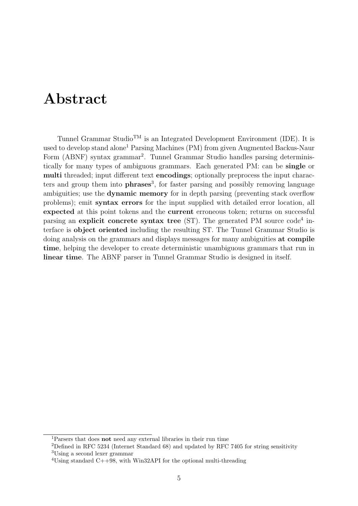# Abstract

Tunnel Grammar Studio<sup>TM</sup> is an Integrated Development Environment (IDE). It is used to develop stand alone<sup>[1](#page-5-0)</sup> Parsing Machines (PM) from given Augmented Backus-Naur Form (ABNF) syntax grammar<sup>[2](#page-5-1)</sup>. Tunnel Grammar Studio handles parsing deterministically for many types of ambiguous grammars. Each generated PM: can be single or multi threaded; input different text encodings; optionally preprocess the input characters and group them into **phrases**<sup>[3](#page-5-2)</sup>, for faster parsing and possibly removing language ambiguities; use the dynamic memory for in depth parsing (preventing stack overflow problems); emit syntax errors for the input supplied with detailed error location, all expected at this point tokens and the current erroneous token; returns on successful parsing an explicit concrete syntax tree  $(ST)$ . The generated PM source code<sup>[4](#page-5-3)</sup> interface is object oriented including the resulting ST. The Tunnel Grammar Studio is doing analysis on the grammars and displays messages for many ambiguities at compile time, helping the developer to create deterministic unambiguous grammars that run in linear time. The ABNF parser in Tunnel Grammar Studio is designed in itself.

<span id="page-5-0"></span><sup>1</sup>Parsers that does not need any external libraries in their run time

<span id="page-5-2"></span><span id="page-5-1"></span><sup>2</sup>Defined in RFC 5234 (Internet Standard 68) and updated by RFC 7405 for string sensitivity <sup>3</sup>Using a second lexer grammar

<span id="page-5-3"></span><sup>&</sup>lt;sup>4</sup>Using standard C++98, with Win32API for the optional multi-threading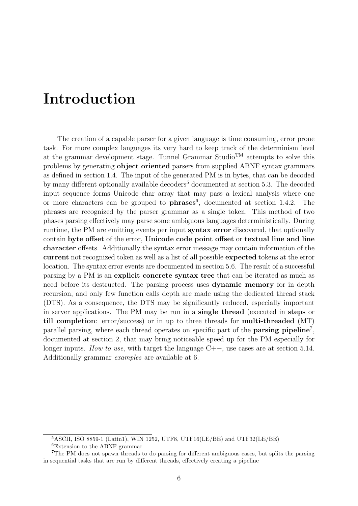# Introduction

The creation of a capable parser for a given language is time consuming, error prone task. For more complex languages its very hard to keep track of the determinism level at the grammar development stage. Tunnel Grammar Studio<sup>TM</sup> attempts to solve this problems by generating object oriented parsers from supplied ABNF syntax grammars as defined in section [1.4.](#page-11-0) The input of the generated PM is in bytes, that can be decoded by many different optionally available decoders<sup>[5](#page-6-0)</sup> documented at section [5.3.](#page-41-0) The decoded input sequence forms Unicode char array that may pass a lexical analysis where one or more characters can be grouped to  $phrases^6$  $phrases^6$ , documented at section [1.4.2.](#page-14-0) The phrases are recognized by the parser grammar as a single token. This method of two phases parsing effectively may parse some ambiguous languages deterministically. During runtime, the PM are emitting events per input syntax error discovered, that optionally contain byte offset of the error, Unicode code point offset or textual line and line character offsets. Additionally the syntax error message may contain information of the current not recognized token as well as a list of all possible expected tokens at the error location. The syntax error events are documented in section [5.6.](#page-43-0) The result of a successful parsing by a PM is an explicit concrete syntax tree that can be iterated as much as need before its destructed. The parsing process uses dynamic memory for in depth recursion, and only few function calls depth are made using the dedicated thread stack (DTS). As a consequence, the DTS may be significantly reduced, especially important in server applications. The PM may be run in a single thread (executed in steps or till completion: error/success) or in up to three threads for multi-threaded (MT) parallel parsing, where each thread operates on specific part of the **parsing pipeline**<sup>[7](#page-6-2)</sup>, documented at section [2,](#page-17-0) that may bring noticeable speed up for the PM especially for longer inputs. How to use, with target the language  $C++$ , use cases are at section [5.14.](#page-47-1) Additionally grammar examples are available at [6.](#page-55-0)

<span id="page-6-0"></span> $5ASCII$ , ISO 8859-1 (Latin1), WIN 1252, UTF8, UTF16(LE/BE) and UTF32(LE/BE)

<span id="page-6-2"></span><span id="page-6-1"></span><sup>6</sup>Extension to the ABNF grammar

<sup>7</sup>The PM does not spawn threads to do parsing for different ambiguous cases, but splits the parsing in sequential tasks that are run by different threads, effectively creating a pipeline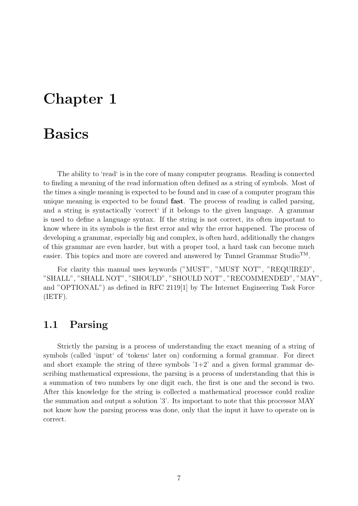# <span id="page-7-0"></span>Chapter 1

# Basics

The ability to 'read' is in the core of many computer programs. Reading is connected to finding a meaning of the read information often defined as a string of symbols. Most of the times a single meaning is expected to be found and in case of a computer program this unique meaning is expected to be found fast. The process of reading is called parsing, and a string is syntactically 'correct' if it belongs to the given language. A grammar is used to define a language syntax. If the string is not correct, its often important to know where in its symbols is the first error and why the error happened. The process of developing a grammar, especially big and complex, is often hard, additionally the changes of this grammar are even harder, but with a proper tool, a hard task can become much easier. This topics and more are covered and answered by Tunnel Grammar StudioTM.

For clarity this manual uses keywords ("MUST", "MUST NOT", "REQUIRED", "SHALL", "SHALL NOT", "SHOULD", "SHOULD NOT", "RECOMMENDED", "MAY", and "OPTIONAL") as defined in RFC 2119[\[1\]](#page-61-0) by The Internet Engineering Task Force (IETF).

## <span id="page-7-1"></span>1.1 Parsing

Strictly the parsing is a process of understanding the exact meaning of a string of symbols (called 'input' of 'tokens' later on) conforming a formal grammar. For direct and short example the string of three symbols  $1+2$  and a given formal grammar describing mathematical expressions, the parsing is a process of understanding that this is a summation of two numbers by one digit each, the first is one and the second is two. After this knowledge for the string is collected a mathematical processor could realize the summation and output a solution '3'. Its important to note that this processor MAY not know how the parsing process was done, only that the input it have to operate on is correct.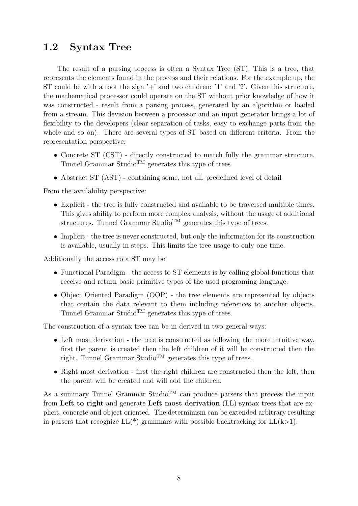# <span id="page-8-0"></span>1.2 Syntax Tree

The result of a parsing process is often a Syntax Tree (ST). This is a tree, that represents the elements found in the process and their relations. For the example up, the ST could be with a root the sign  $+$  and two children:  $'1'$  and  $'2'$ . Given this structure, the mathematical processor could operate on the ST without prior knowledge of how it was constructed - result from a parsing process, generated by an algorithm or loaded from a stream. This devision between a processor and an input generator brings a lot of flexibility to the developers (clear separation of tasks, easy to exchange parts from the whole and so on). There are several types of ST based on different criteria. From the representation perspective:

- Concrete ST (CST) directly constructed to match fully the grammar structure. Tunnel Grammar Studio<sup>TM</sup> generates this type of trees.
- Abstract ST (AST) containing some, not all, predefined level of detail

From the availability perspective:

- Explicit the tree is fully constructed and available to be traversed multiple times. This gives ability to perform more complex analysis, without the usage of additional structures. Tunnel Grammar Studio<sup>TM</sup> generates this type of trees.
- Implicit the tree is never constructed, but only the information for its construction is available, usually in steps. This limits the tree usage to only one time.

Additionally the access to a ST may be:

- Functional Paradigm the access to ST elements is by calling global functions that receive and return basic primitive types of the used programing language.
- Object Oriented Paradigm (OOP) the tree elements are represented by objects that contain the data relevant to them including references to another objects. Tunnel Grammar Studio<sup>TM</sup> generates this type of trees.

The construction of a syntax tree can be in derived in two general ways:

- Left most derivation the tree is constructed as following the more intuitive way, first the parent is created then the left children of it will be constructed then the right. Tunnel Grammar Studio<sup>TM</sup> generates this type of trees.
- Right most derivation first the right children are constructed then the left, then the parent will be created and will add the children.

As a summary Tunnel Grammar Studio<sup>TM</sup> can produce parsers that process the input from Left to right and generate Left most derivation (LL) syntax trees that are explicit, concrete and object oriented. The determinism can be extended arbitrary resulting in parsers that recognize  $LL(*)$  grammars with possible backtracking for  $LL(k>1)$ .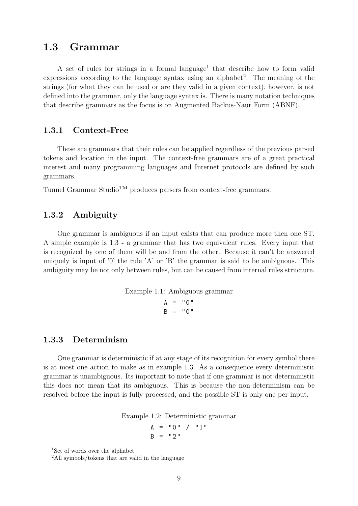## <span id="page-9-0"></span>1.3 Grammar

A set of rules for strings in a formal language<sup>[1](#page-9-4)</sup> that describe how to form valid expressions according to the language syntax using an alphabet<sup>[2](#page-9-5)</sup>. The meaning of the strings (for what they can be used or are they valid in a given context), however, is not defined into the grammar, only the language syntax is. There is many notation techniques that describe grammars as the focus is on Augmented Backus-Naur Form (ABNF).

#### <span id="page-9-1"></span>1.3.1 Context-Free

These are grammars that their rules can be applied regardless of the previous parsed tokens and location in the input. The context-free grammars are of a great practical interest and many programming languages and Internet protocols are defined by such grammars.

Tunnel Grammar Studio<sup>TM</sup> produces parsers from context-free grammars.

#### <span id="page-9-2"></span>1.3.2 Ambiguity

One grammar is ambiguous if an input exists that can produce more then one ST. A simple example is [1.3](#page-10-1) - a grammar that has two equivalent rules. Every input that is recognized by one of them will be and from the other. Because it can't be answered uniquely is input of '0' the rule 'A' or 'B' the grammar is said to be ambiguous. This ambiguity may be not only between rules, but can be caused from internal rules structure.

Example 1.1: Ambiguous grammar

 $A = "0"$  $B = "0"$ 

#### <span id="page-9-3"></span>1.3.3 Determinism

One grammar is deterministic if at any stage of its recognition for every symbol there is at most one action to make as in example [1.3.](#page-10-1) As a consequence every deterministic grammar is unambiguous. Its important to note that if one grammar is not deterministic this does not mean that its ambiguous. This is because the non-determinism can be resolved before the input is fully processed, and the possible ST is only one per input.

Example 1.2: Deterministic grammar

$$
A = "0" / "1"
$$
  
B = "2"

<span id="page-9-4"></span><sup>&</sup>lt;sup>1</sup>Set of words over the alphabet

<span id="page-9-5"></span><sup>&</sup>lt;sup>2</sup>All symbols/tokens that are valid in the language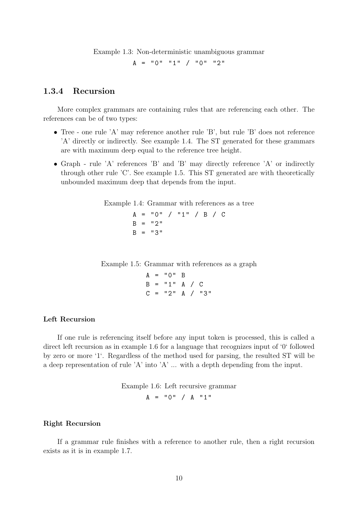Example 1.3: Non-deterministic unambiguous grammar

<span id="page-10-1"></span> $A = "0" "1" / "0" "2"$ 

#### <span id="page-10-0"></span>1.3.4 Recursion

More complex grammars are containing rules that are referencing each other. The references can be of two types:

- Tree one rule 'A' may reference another rule 'B', but rule 'B' does not reference 'A' directly or indirectly. See example [1.4.](#page-10-2) The ST generated for these grammars are with maximum deep equal to the reference tree height.
- Graph rule 'A' references 'B' and 'B' may directly reference 'A' or indirectly through other rule 'C'. See example [1.5.](#page-10-3) This ST generated are with theoretically unbounded maximum deep that depends from the input.

Example 1.4: Grammar with references as a tree

<span id="page-10-2"></span> $A = "0" / "1" / B / C$  $B = "2"$  $B = "3"$ 

Example 1.5: Grammar with references as a graph

<span id="page-10-3"></span> $A = "0" B$  $B = "1" A / C$  $C = "2" A / "3"$ 

#### Left Recursion

If one rule is referencing itself before any input token is processed, this is called a direct left recursion as in example [1.6](#page-10-4) for a language that recognizes input of '0' followed by zero or more '1'. Regardless of the method used for parsing, the resulted ST will be a deep representation of rule 'A' into 'A' ... with a depth depending from the input.

> <span id="page-10-4"></span>Example 1.6: Left recursive grammar  $A = "0" / A "1"$

#### Right Recursion

If a grammar rule finishes with a reference to another rule, then a right recursion exists as it is in example [1.7.](#page-11-2)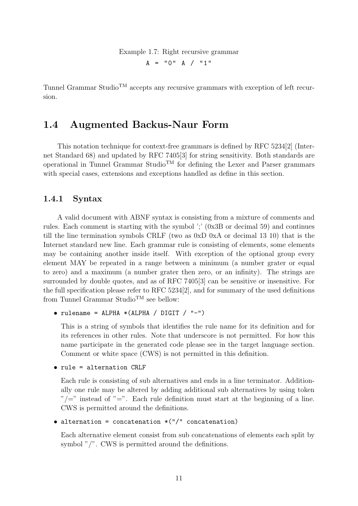Example 1.7: Right recursive grammar

<span id="page-11-2"></span> $A = "0" A / "1"$ 

Tunnel Grammar Studio<sup>TM</sup> accepts any recursive grammars with exception of left recursion.

## <span id="page-11-0"></span>1.4 Augmented Backus-Naur Form

This notation technique for context-free grammars is defined by RFC 5234[\[2\]](#page-61-1) (Internet Standard 68) and updated by RFC 7405[\[3\]](#page-61-2) for string sensitivity. Both standards are operational in Tunnel Grammar Studio<sup>TM</sup> for defining the Lexer and Parser grammars with special cases, extensions and exceptions handled as define in this section.

#### <span id="page-11-1"></span>1.4.1 Syntax

A valid document with ABNF syntax is consisting from a mixture of comments and rules. Each comment is starting with the symbol ';' (0x3B or decimal 59) and continues till the line termination symbols CRLF (two as 0xD 0xA or decimal 13 10) that is the Internet standard new line. Each grammar rule is consisting of elements, some elements may be containing another inside itself. With exception of the optional group every element MAY be repeated in a range between a minimum (a number grater or equal to zero) and a maximum (a number grater then zero, or an infinity). The strings are surrounded by double quotes, and as of RFC 7405[\[3\]](#page-61-2) can be sensitive or insensitive. For the full specification please refer to RFC 5234[\[2\]](#page-61-1), and for summary of the used definitions from Tunnel Grammar Studio<sup>TM</sup> see bellow:

```
\bullet rulename = ALPHA *(ALPHA / DIGIT / "-"))
```
This is a string of symbols that identifies the rule name for its definition and for its references in other rules. Note that underscore is not permitted. For how this name participate in the generated code please see in the target language section. Comment or white space (CWS) is not permitted in this definition.

```
• rule = alternation CRLF
```
Each rule is consisting of sub alternatives and ends in a line terminator. Additionally one rule may be altered by adding additional sub alternatives by using token  $\sqrt[n]{=}$ " instead of "=". Each rule definition must start at the beginning of a line. CWS is permitted around the definitions.

• alternation = concatenation \*("/" concatenation)

Each alternative element consist from sub concatenations of elements each split by symbol "/". CWS is permitted around the definitions.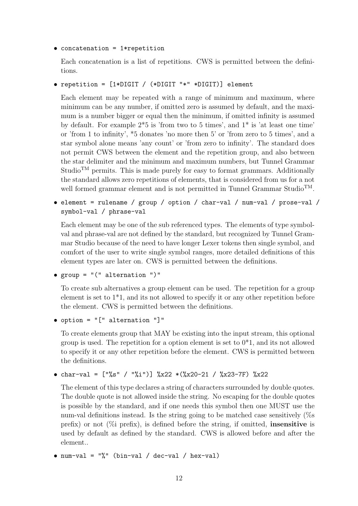```
• concatenation = 1*repetition
```
Each concatenation is a list of repetitions. CWS is permitted between the definitions.

```
• repetition = [1*DIGIT / (*DIGIT "*" *DIGIT)] element
```
Each element may be repeated with a range of minimum and maximum, where minimum can be any number, if omitted zero is assumed by default, and the maximum is a number bigger or equal then the minimum, if omitted infinity is assumed by default. For example 2\*5 is 'from two to 5 times', and 1\* is 'at least one time' or 'from 1 to infinity', \*5 donates 'no more then 5' or 'from zero to 5 times', and a star symbol alone means 'any count' or 'from zero to infinity'. The standard does not permit CWS between the element and the repetition group, and also between the star delimiter and the minimum and maximum numbers, but Tunnel Grammar Studio<sup>TM</sup> permits. This is made purely for easy to format grammars. Additionally the standard allows zero repetitions of elements, that is considered from us for a not well formed grammar element and is not permitted in Tunnel Grammar Studio<sup>TM</sup>.

• element = rulename / group / option / char-val / num-val / prose-val / symbol-val / phrase-val

Each element may be one of the sub referenced types. The elements of type symbolval and phrase-val are not defined by the standard, but recognized by Tunnel Grammar Studio because of the need to have longer Lexer tokens then single symbol, and comfort of the user to write single symbol ranges, more detailed definitions of this element types are later on. CWS is permitted between the definitions.

```
• group = "(" alternation ")"
```
To create sub alternatives a group element can be used. The repetition for a group element is set to 1\*1, and its not allowed to specify it or any other repetition before the element. CWS is permitted between the definitions.

```
• option = "[" alternation "]"
```
To create elements group that MAY be existing into the input stream, this optional group is used. The repetition for a option element is set to  $0^*1$ , and its not allowed to specify it or any other repetition before the element. CWS is permitted between the definitions.

```
• char-val = ["%s" / "%i")] %x22 *(%x20-21 / %x23-7F) %x22
```
The element of this type declares a string of characters surrounded by double quotes. The double quote is not allowed inside the string. No escaping for the double quotes is possible by the standard, and if one needs this symbol then one MUST use the num-val definitions instead. Is the string going to be matched case sensitively (%s prefix) or not  $(\%$  prefix), is defined before the string, if omitted, **insensitive** is used by default as defined by the standard. CWS is allowed before and after the element..

```
• num-val = "%" (bin-val / dec-val / hex-val)
```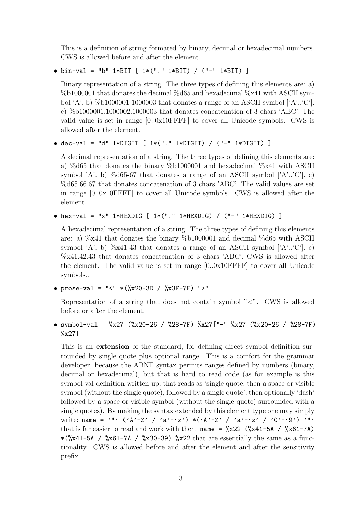This is a definition of string formated by binary, decimal or hexadecimal numbers. CWS is allowed before and after the element.

```
• bin-val = "b" 1*BIT [ 1*("." 1*BIT) / ("-" 1*BIT) ]
```
Binary representation of a string. The three types of defining this elements are: a) %b1000001 that donates the decimal %d65 and hexadecimal %x41 with ASCII symbol 'A'. b)  $%b1000001-1000003$  that donates a range of an ASCII symbol ['A'..'C']. c) %b1000001.1000002.1000003 that donates concatenation of 3 chars 'ABC'. The valid value is set in range [0..0x10FFFF] to cover all Unicode symbols. CWS is allowed after the element.

• dec-val = "d" 1\*DIGIT [  $1*($ "." 1\*DIGIT) / ("-" 1\*DIGIT) ]

A decimal representation of a string. The three types of defining this elements are: a) %d65 that donates the binary %b1000001 and hexadecimal %x41 with ASCII symbol 'A'. b) %d65-67 that donates a range of an ASCII symbol  $['A'..'C']$ . c) %d65.66.67 that donates concatenation of 3 chars 'ABC'. The valid values are set in range [0..0x10FFFF] to cover all Unicode symbols. CWS is allowed after the element.

```
• hex-val = "x" 1*HEXDIG [ 1*("." 1*HEXDIG) / ("-" 1*HEXDIG) ]
```
A hexadecimal representation of a string. The three types of defining this elements are: a) %x41 that donates the binary %b1000001 and decimal %d65 with ASCII symbol 'A'. b)  $\%x41-43$  that donates a range of an ASCII symbol ['A'..'C']. c) %x41.42.43 that donates concatenation of 3 chars 'ABC'. CWS is allowed after the element. The valid value is set in range [0..0x10FFFF] to cover all Unicode symbols..

• prose-val = "<" \*(%x20-3D / %x3F-7F) ">"

Representation of a string that does not contain symbol  $\degree$  <". CWS is allowed before or after the element.

• symbol-val = %x27 (%x20-26 / %28-7F) %x27["-" %x27 (%x20-26 / %28-7F)  $\frac{9}{8}x27$ ]

This is an extension of the standard, for defining direct symbol definition surrounded by single quote plus optional range. This is a comfort for the grammar developer, because the ABNF syntax permits ranges defined by numbers (binary, decimal or hexadecimal), but that is hard to read code (as for example is this symbol-val definition written up, that reads as 'single quote, then a space or visible symbol (without the single quote), followed by a single quote', then optionally 'dash' followed by a space or visible symbol (without the single quote) surrounded with a single quotes). By making the syntax extended by this element type one may simply write: name = '"'  $(\lambda^2 - Z' / \lambda^3 - Z') * (\lambda^2 - Z' / \lambda^3 - Z' / \lambda^3 - Z' / \lambda^3 - Z' / \lambda^3 - Z' / \lambda^3 - Z' / \lambda^3 - Z' / \lambda^3 - Z' / \lambda^3 - Z' / \lambda^3 - Z' / \lambda^3 - Z' / \lambda^3 - Z' / \lambda^3 - Z' / \lambda^3 - Z' / \lambda^3 - Z' / \lambda^3 - Z' / \lambda^3 - Z' / \lambda^3 - Z' / \lambda^3 - Z' / \lambda^3 - Z' / \lambda^3 - Z' / \lambda^3 - Z' / \lambda^3 - Z' / \lambda$ that is far easier to read and work with then: name =  $\frac{\%x}{22}$  ( $\frac{\%x}{41}$ -5A /  $\frac{\%x}{1}$ -7A)  $*(\&x41-5A$  /  $*\&x61-7A$  /  $*\&x30-39)$   $*\&x22$  that are essentially the same as a functionality. CWS is allowed before and after the element and after the sensitivity prefix.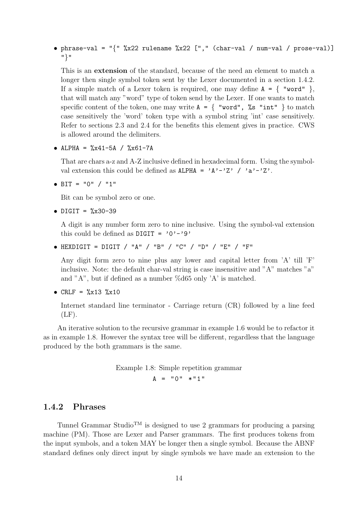• phrase-val = " ${''$  %x22 rulename %x22 ["," (char-val / num-val / prose-val)] "}"

This is an extension of the standard, because of the need an element to match a longer then single symbol token sent by the Lexer documented in a section [1.4.2.](#page-14-0) If a simple match of a Lexer token is required, one may define  $A = \{$  "word"  $\}$ , that will match any "word" type of token send by the Lexer. If one wants to match specific content of the token, one may write  $A = \{$  "word",  $\%$ s "int" } to match case sensitively the 'word' token type with a symbol string 'int' case sensitively. Refer to sections [2.3](#page-17-3) and [2.4](#page-18-0) for the benefits this element gives in practice. CWS is allowed around the delimiters.

• ALPHA =  $\sqrt[6]{x41-5A}$  /  $\sqrt[6]{x61-7A}$ 

That are chars a-z and A-Z inclusive defined in hexadecimal form. Using the symbolval extension this could be defined as  $ALPHA = 'A'-'Z' / 'a'-'Z'.$ 

• BIT =  $"0" / "1"$ 

Bit can be symbol zero or one.

• DIGIT =  $\frac{9}{2}x30-39$ 

A digit is any number form zero to nine inclusive. Using the symbol-val extension this could be defined as  $\text{Diff} = '0' - '9'$ 

• HEXDIGIT = DIGIT / "A" / "B" / "C" / "D" / "E" / "F"

Any digit form zero to nine plus any lower and capital letter from 'A' till 'F' inclusive. Note: the default char-val string is case insensitive and "A" matches "a" and "A", but if defined as a number  $\%$ d $65$  only 'A' is matched.

```
• CRLF = \frac{9}{2}x13 \frac{9}{2}x10
```
Internet standard line terminator - Carriage return (CR) followed by a line feed  $(LF)$ .

An iterative solution to the recursive grammar in example [1.6](#page-10-4) would be to refactor it as in example [1.8.](#page-14-1) However the syntax tree will be different, regardless that the language produced by the both grammars is the same.

```
Example 1.8: Simple repetition grammar
          A = "0" * "1"
```
### <span id="page-14-0"></span>1.4.2 Phrases

Tunnel Grammar Studio<sup>TM</sup> is designed to use 2 grammars for producing a parsing machine (PM). Those are Lexer and Parser grammars. The first produces tokens from the input symbols, and a token MAY be longer then a single symbol. Because the ABNF standard defines only direct input by single symbols we have made an extension to the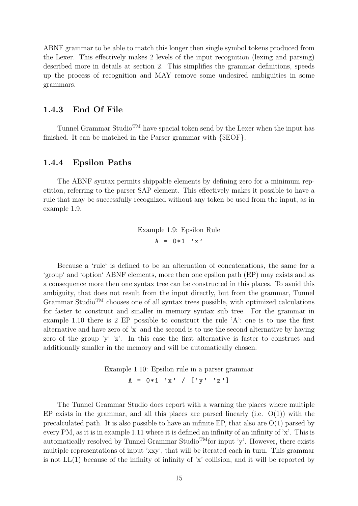ABNF grammar to be able to match this longer then single symbol tokens produced from the Lexer. This effectively makes 2 levels of the input recognition (lexing and parsing) described more in details at section [2.](#page-17-0) This simplifies the grammar definitions, speeds up the process of recognition and MAY remove some undesired ambiguities in some grammars.

#### <span id="page-15-0"></span>1.4.3 End Of File

Tunnel Grammar Studio<sup>TM</sup> have spacial token send by the Lexer when the input has finished. It can be matched in the Parser grammar with {\$EOF}.

#### <span id="page-15-1"></span>1.4.4 Epsilon Paths

The ABNF syntax permits shippable elements by defining zero for a minimum repetition, referring to the parser SAP element. This effectively makes it possible to have a rule that may be successfully recognized without any token be used from the input, as in example [1.9.](#page-15-2)

> <span id="page-15-2"></span>Example 1.9: Epsilon Rule  $A = 0*1$  'x'

Because a 'rule' is defined to be an alternation of concatenations, the same for a 'group' and 'option' ABNF elements, more then one epsilon path (EP) may exists and as a consequence more then one syntax tree can be constructed in this places. To avoid this ambiguity, that does not result from the input directly, but from the grammar, Tunnel Grammar Studio<sup>TM</sup> chooses one of all syntax trees possible, with optimized calculations for faster to construct and smaller in memory syntax sub tree. For the grammar in example [1.10](#page-15-3) there is 2 EP possible to construct the rule 'A': one is to use the first alternative and have zero of 'x' and the second is to use the second alternative by having zero of the group 'y' 'z'. In this case the first alternative is faster to construct and additionally smaller in the memory and will be automatically chosen.

> <span id="page-15-3"></span>Example 1.10: Epsilon rule in a parser grammar  $A = 0*1$  'x' /  $[\gamma \gamma$ ' 'z']

The Tunnel Grammar Studio does report with a warning the places where multiple EP exists in the grammar, and all this places are parsed linearly (i.e.  $O(1)$ ) with the precalculated path. It is also possible to have an infinite EP, that also are  $O(1)$  parsed by every PM, as it is in example [1.11](#page-16-1) where it is defined an infinity of an infinity of  $x'$ . This is automatically resolved by Tunnel Grammar Studio<sup>TM</sup>for input 'y'. However, there exists multiple representations of input 'xxy', that will be iterated each in turn. This grammar is not  $LL(1)$  because of the infinity of infinity of 'x' collision, and it will be reported by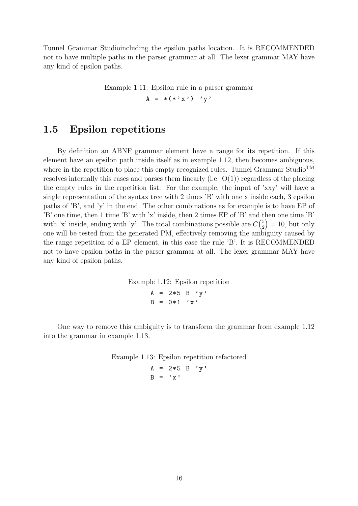Tunnel Grammar Studioincluding the epsilon paths location. It is RECOMMENDED not to have multiple paths in the parser grammar at all. The lexer grammar MAY have any kind of epsilon paths.

Example 1.11: Epsilon rule in a parser grammar

<span id="page-16-1"></span> $A = *(*'x')' 'y'$ 

## <span id="page-16-0"></span>1.5 Epsilon repetitions

By definition an ABNF grammar element have a range for its repetition. If this element have an epsilon path inside itself as in example [1.12,](#page-16-2) then becomes ambiguous, where in the repetition to place this empty recognized rules. Tunnel Grammar Studio<sup>TM</sup> resolves internally this cases and parses them linearly (i.e. O(1)) regardless of the placing the empty rules in the repetition list. For the example, the input of 'xxy' will have a single representation of the syntax tree with 2 times 'B' with one x inside each, 3 epsilon paths of 'B', and 'y' in the end. The other combinations as for example is to have EP of 'B' one time, then 1 time 'B' with 'x' inside, then 2 times EP of 'B' and then one time 'B' with 'x' inside, ending with 'y'. The total combinations possible are  $C_{2}^{5}$ 2  $= 10$ , but only one will be tested from the generated PM, effectively removing the ambiguity caused by the range repetition of a EP element, in this case the rule 'B'. It is RECOMMENDED not to have epsilon paths in the parser grammar at all. The lexer grammar MAY have any kind of epsilon paths.

Example 1.12: Epsilon repetition

<span id="page-16-2"></span> $A = 2*5 B' v'$  $B = 0*1$  'x'

One way to remove this ambiguity is to transform the grammar from example [1.12](#page-16-2) into the grammar in example [1.13.](#page-16-3)

Example 1.13: Epsilon repetition refactored

<span id="page-16-3"></span> $A = 2*5 B' y'$  $B = 'x'$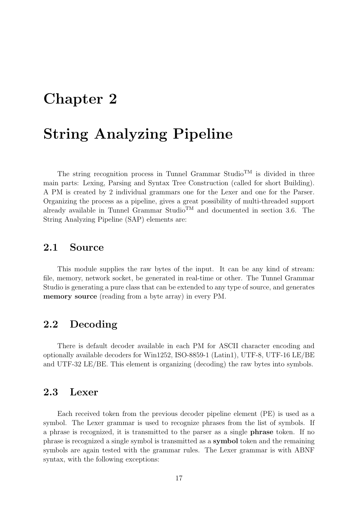# <span id="page-17-0"></span>Chapter 2

# String Analyzing Pipeline

The string recognition process in Tunnel Grammar Studio<sup>TM</sup> is divided in three main parts: Lexing, Parsing and Syntax Tree Construction (called for short Building). A PM is created by 2 individual grammars one for the Lexer and one for the Parser. Organizing the process as a pipeline, gives a great possibility of multi-threaded support already available in Tunnel Grammar Studio<sup>TM</sup> and documented in section [3.6.](#page-21-1) The String Analyzing Pipeline (SAP) elements are:

### <span id="page-17-1"></span>2.1 Source

This module supplies the raw bytes of the input. It can be any kind of stream: file, memory, network socket, be generated in real-time or other. The Tunnel Grammar Studio is generating a pure class that can be extended to any type of source, and generates memory source (reading from a byte array) in every PM.

### <span id="page-17-2"></span>2.2 Decoding

There is default decoder available in each PM for ASCII character encoding and optionally available decoders for Win1252, ISO-8859-1 (Latin1), UTF-8, UTF-16 LE/BE and UTF-32 LE/BE. This element is organizing (decoding) the raw bytes into symbols.

## <span id="page-17-3"></span>2.3 Lexer

Each received token from the previous decoder pipeline element (PE) is used as a symbol. The Lexer grammar is used to recognize phrases from the list of symbols. If a phrase is recognized, it is transmitted to the parser as a single phrase token. If no phrase is recognized a single symbol is transmitted as a symbol token and the remaining symbols are again tested with the grammar rules. The Lexer grammar is with ABNF syntax, with the following exceptions: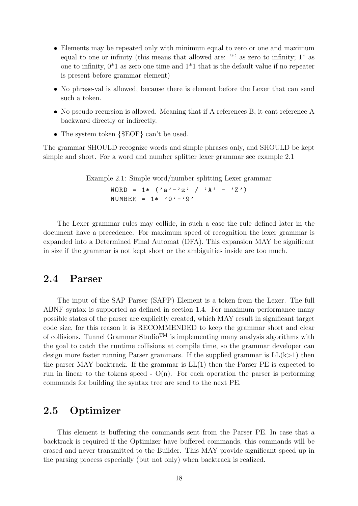- Elements may be repeated only with minimum equal to zero or one and maximum equal to one or infinity (this means that allowed are:  $\cdot^*$  as zero to infinity;  $1^*$  as one to infinity,  $0^*1$  as zero one time and  $1^*1$  that is the default value if no repeater is present before grammar element)
- No phrase-val is allowed, because there is element before the Lexer that can send such a token.
- No pseudo-recursion is allowed. Meaning that if A references B, it cant reference A backward directly or indirectly.
- The system token  $\{EOF\}$  can't be used.

The grammar SHOULD recognize words and simple phrases only, and SHOULD be kept simple and short. For a word and number splitter lexer grammar see example [2.1](#page-18-2)

Example 2.1: Simple word/number splitting Lexer grammar

<span id="page-18-2"></span>WORD =  $1 * ( 'a' - 'z' ) / 'A' - 'Z' )$ NUMBER =  $1 * '0' - '9'$ 

The Lexer grammar rules may collide, in such a case the rule defined later in the document have a precedence. For maximum speed of recognition the lexer grammar is expanded into a Determined Final Automat (DFA). This expansion MAY be significant in size if the grammar is not kept short or the ambiguities inside are too much.

### <span id="page-18-0"></span>2.4 Parser

The input of the SAP Parser (SAPP) Element is a token from the Lexer. The full ABNF syntax is supported as defined in section [1.4.](#page-11-0) For maximum performance many possible states of the parser are explicitly created, which MAY result in significant target code size, for this reason it is RECOMMENDED to keep the grammar short and clear of collisions. Tunnel Grammar Studio<sup>TM</sup> is implementing many analysis algorithms with the goal to catch the runtime collisions at compile time, so the grammar developer can design more faster running Parser grammars. If the supplied grammar is  $LL(k>1)$  then the parser MAY backtrack. If the grammar is  $LL(1)$  then the Parser PE is expected to run in linear to the tokens speed  $\sim O(n)$ . For each operation the parser is performing commands for building the syntax tree are send to the next PE.

## <span id="page-18-1"></span>2.5 Optimizer

This element is buffering the commands sent from the Parser PE. In case that a backtrack is required if the Optimizer have buffered commands, this commands will be erased and never transmitted to the Builder. This MAY provide significant speed up in the parsing process especially (but not only) when backtrack is realized.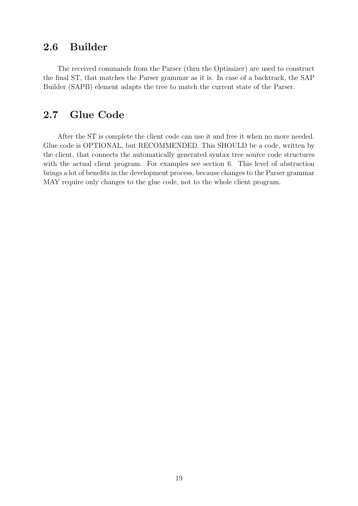# <span id="page-19-0"></span>2.6 Builder

The received commands from the Parser (thru the Optimizer) are used to construct the final ST, that matches the Parser grammar as it is. In case of a backtrack, the SAP Builder (SAPB) element adapts the tree to match the current state of the Parser.

## <span id="page-19-1"></span>2.7 Glue Code

After the ST is complete the client code can use it and free it when no more needed. Glue code is OPTIONAL, but RECOMMENDED. This SHOULD be a code, written by the client, that connects the automatically generated syntax tree source code structures with the actual client program. For examples see section [6.](#page-55-0) This level of abstraction brings a lot of benefits in the development process, because changes to the Parser grammar MAY require only changes to the glue code, not to the whole client program.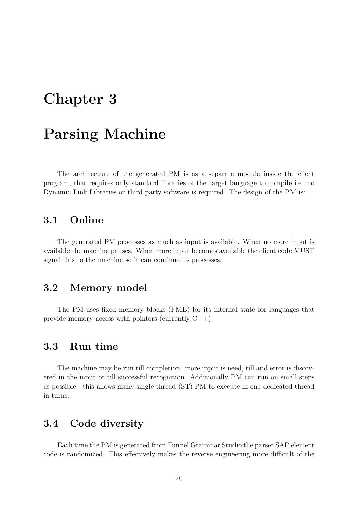# <span id="page-20-0"></span>Chapter 3

# Parsing Machine

The architecture of the generated PM is as a separate module inside the client program, that requires only standard libraries of the target language to compile i.e. no Dynamic Link Libraries or third party software is required. The design of the PM is:

### <span id="page-20-1"></span>3.1 Online

The generated PM processes as much as input is available. When no more input is available the machine pauses. When more input becomes available the client code MUST signal this to the machine so it can continue its processes.

## <span id="page-20-2"></span>3.2 Memory model

The PM uses fixed memory blocks (FMB) for its internal state for languages that provide memory access with pointers (currently  $C_{++}$ ).

## <span id="page-20-3"></span>3.3 Run time

The machine may be run till completion: more input is need, till and error is discovered in the input or till successful recognition. Additionally PM can run on small steps as possible - this allows many single thread (ST) PM to execute in one dedicated thread in turns.

## <span id="page-20-4"></span>3.4 Code diversity

Each time the PM is generated from Tunnel Grammar Studio the parser SAP element code is randomized. This effectively makes the reverse engineering more difficult of the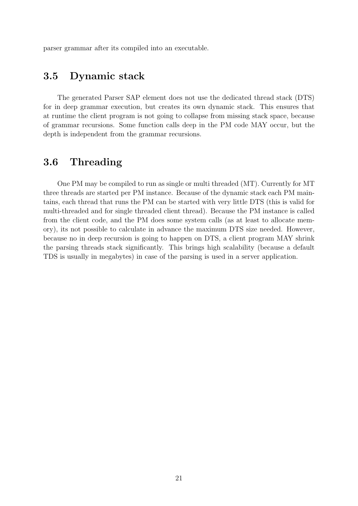parser grammar after its compiled into an executable.

## <span id="page-21-0"></span>3.5 Dynamic stack

The generated Parser SAP element does not use the dedicated thread stack (DTS) for in deep grammar execution, but creates its own dynamic stack. This ensures that at runtime the client program is not going to collapse from missing stack space, because of grammar recursions. Some function calls deep in the PM code MAY occur, but the depth is independent from the grammar recursions.

## <span id="page-21-1"></span>3.6 Threading

One PM may be compiled to run as single or multi threaded (MT). Currently for MT three threads are started per PM instance. Because of the dynamic stack each PM maintains, each thread that runs the PM can be started with very little DTS (this is valid for multi-threaded and for single threaded client thread). Because the PM instance is called from the client code, and the PM does some system calls (as at least to allocate memory), its not possible to calculate in advance the maximum DTS size needed. However, because no in deep recursion is going to happen on DTS, a client program MAY shrink the parsing threads stack significantly. This brings high scalability (because a default TDS is usually in megabytes) in case of the parsing is used in a server application.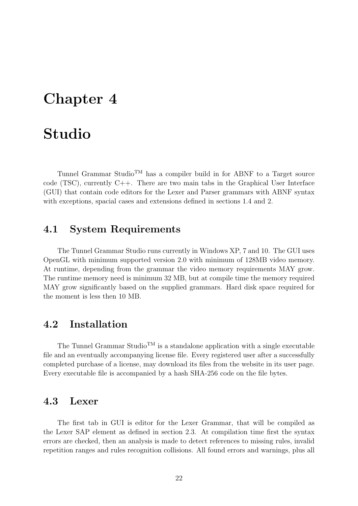# <span id="page-22-0"></span>Chapter 4

# Studio

Tunnel Grammar Studio<sup>TM</sup> has a compiler build in for ABNF to a Target source code (TSC), currently  $C++$ . There are two main tabs in the Graphical User Interface (GUI) that contain code editors for the Lexer and Parser grammars with ABNF syntax with exceptions, spacial cases and extensions defined in sections [1.4](#page-11-0) and [2.](#page-17-0)

## <span id="page-22-1"></span>4.1 System Requirements

The Tunnel Grammar Studio runs currently in Windows XP, 7 and 10. The GUI uses OpenGL with minimum supported version 2.0 with minimum of 128MB video memory. At runtime, depending from the grammar the video memory requirements MAY grow. The runtime memory need is minimum 32 MB, but at compile time the memory required MAY grow significantly based on the supplied grammars. Hard disk space required for the moment is less then 10 MB.

### <span id="page-22-2"></span>4.2 Installation

The Tunnel Grammar Studio<sup>TM</sup> is a standalone application with a single executable file and an eventually accompanying license file. Every registered user after a successfully completed purchase of a license, may download its files from the website in its user page. Every executable file is accompanied by a hash SHA-256 code on the file bytes.

### <span id="page-22-3"></span>4.3 Lexer

The first tab in GUI is editor for the Lexer Grammar, that will be compiled as the Lexer SAP element as defined in section [2.3.](#page-17-3) At compilation time first the syntax errors are checked, then an analysis is made to detect references to missing rules, invalid repetition ranges and rules recognition collisions. All found errors and warnings, plus all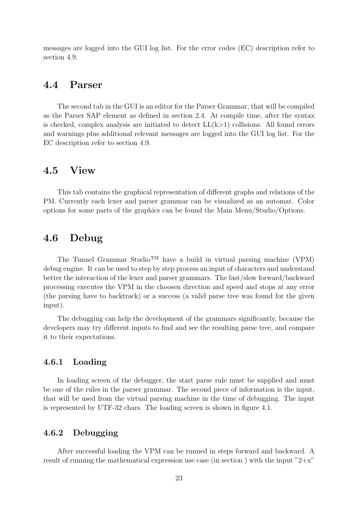messages are logged into the GUI log list. For the error codes (EC) description refer to section [4.9.](#page-37-0)

### <span id="page-23-0"></span>4.4 Parser

The second tab in the GUI is an editor for the Parser Grammar, that will be compiled as the Parser SAP element as defined in section [2.4.](#page-18-0) At compile time, after the syntax is checked, complex analysis are initiated to detect  $LL(k>1)$  collisions. All found errors and warnings plus additional relevant messages are logged into the GUI log list. For the EC description refer to section [4.9.](#page-37-0)

### <span id="page-23-1"></span>4.5 View

This tab contains the graphical representation of different graphs and relations of the PM. Currently each lexer and parser grammar can be visualized as an automat. Color options for some parts of the graphics can be found the Main Menu/Studio/Options.

### <span id="page-23-2"></span>4.6 Debug

The Tunnel Grammar Studio<sup>TM</sup> have a build in virtual parsing machine (VPM) debug engine. It can be used to step by step process an input of characters and understand better the interaction of the lexer and parser grammars. The fast/slow forward/backward processing executes the VPM in the choosen direction and speed and stops at any error (the parsing have to backtrack) or a success (a valid parse tree was found for the given input).

The debugging can help the development of the grammars significantly, because the developers may try different inputs to find and see the resulting parse tree, and compare it to their expectations.

#### <span id="page-23-3"></span>4.6.1 Loading

In loading screen of the debugger, the start parse rule must be supplied and must be one of the rules in the parser grammar. The second piece of information is the input, that will be used from the virtual parsing machine in the time of debugging. The input is represented by UTF-32 chars. The loading screen is shown in figure [4.1.](#page-24-0)

#### <span id="page-23-4"></span>4.6.2 Debugging

After successful loading the VPM can be runned in steps forward and backward. A result of running the mathematical expression use case (in section ) with the input  $2+x$ "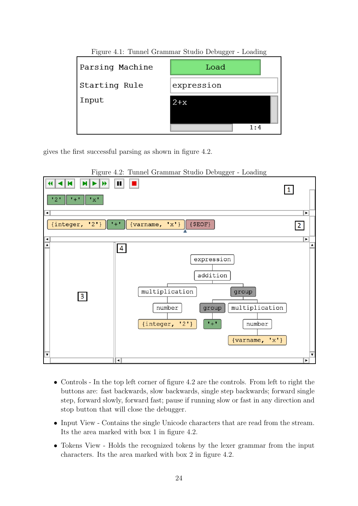|                 | $\circ$<br>◡ |
|-----------------|--------------|
| Parsing Machine | Load         |
| Starting Rule   | expression   |
| Input           | $2+x$        |
|                 |              |
|                 | 1:4          |

<span id="page-24-0"></span>Figure 4.1: Tunnel Grammar Studio Debugger - Loading

gives the first successful parsing as shown in figure [4.2.](#page-24-1)

<span id="page-24-1"></span>

Figure 4.2: Tunnel Grammar Studio Debugger - Loading

- Controls In the top left corner of figure [4.2](#page-24-1) are the controls. From left to right the buttons are: fast backwards, slow backwards, single step backwards; forward single step, forward slowly, forward fast; pause if running slow or fast in any direction and stop button that will close the debugger.
- Input View Contains the single Unicode characters that are read from the stream. Its the area marked with box 1 in figure [4.2.](#page-24-1)
- Tokens View Holds the recognized tokens by the lexer grammar from the input characters. Its the area marked with box 2 in figure [4.2.](#page-24-1)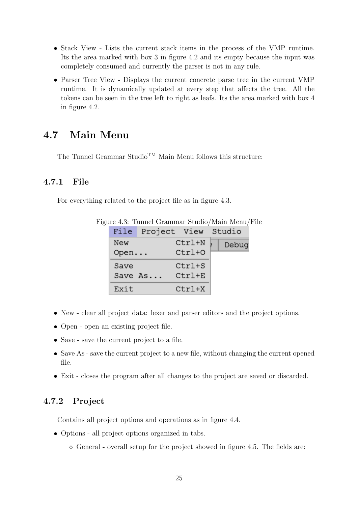- Stack View Lists the current stack items in the process of the VMP runtime. Its the area marked with box 3 in figure [4.2](#page-24-1) and its empty because the input was completely consumed and currently the parser is not in any rule.
- Parser Tree View Displays the current concrete parse tree in the current VMP runtime. It is dynamically updated at every step that affects the tree. All the tokens can be seen in the tree left to right as leafs. Its the area marked with box 4 in figure [4.2.](#page-24-1)

## <span id="page-25-0"></span>4.7 Main Menu

The Tunnel Grammar StudioTM Main Menu follows this structure:

### <span id="page-25-1"></span>4.7.1 File

For everything related to the project file as in figure [4.3.](#page-25-3)

<span id="page-25-3"></span>

|      | File Project View Studio |            |       |
|------|--------------------------|------------|-------|
| New  |                          | Ctrl+N     | Debug |
| Open |                          | $Ctrl+O$   |       |
| Save |                          | $Ctrl + S$ |       |
|      | Save As                  | $Ctrl+E$   |       |
| Exit |                          | $Ctrl+X$   |       |

Figure 4.3: Tunnel Grammar Studio/Main Menu/File

- New clear all project data: lexer and parser editors and the project options.
- Open open an existing project file.
- Save save the current project to a file.
- Save As save the current project to a new file, without changing the current opened file.
- Exit closes the program after all changes to the project are saved or discarded.

### <span id="page-25-2"></span>4.7.2 Project

Contains all project options and operations as in figure [4.4.](#page-26-0)

- Options all project options organized in tabs.
	- $\Diamond$  General overall setup for the project showed in figure [4.5.](#page-26-1) The fields are: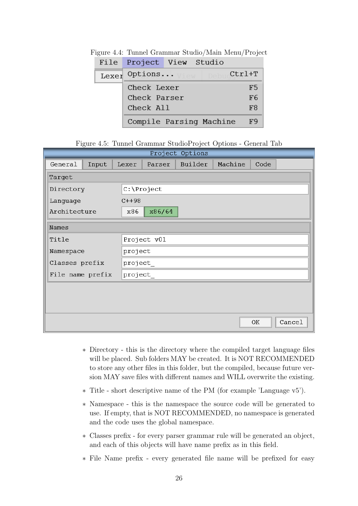<span id="page-26-0"></span>

|       | File Project View Studio |                                          |                |
|-------|--------------------------|------------------------------------------|----------------|
| Lexer |                          | Options $V_1$ ew Debuc $\mathtt{Ctrl+T}$ |                |
|       | Check Lexer              |                                          | F5             |
|       | Check Parser             |                                          | F <sub>6</sub> |
|       | Check All                |                                          | F <sub>8</sub> |
|       |                          | Compile Parsing Machine                  | F9             |

Figure 4.4: Tunnel Grammar Studio/Main Menu/Project

<span id="page-26-1"></span>Figure 4.5: Tunnel Grammar StudioProject Options - General Tab

|                  |       |         |             | Project Options |         |      |        |  |  |  |  |  |  |
|------------------|-------|---------|-------------|-----------------|---------|------|--------|--|--|--|--|--|--|
| General          | Input | Lexer   | Parser      | Builder         | Machine | Code |        |  |  |  |  |  |  |
| Target           |       |         |             |                 |         |      |        |  |  |  |  |  |  |
| Directory        |       |         | C:\Project  |                 |         |      |        |  |  |  |  |  |  |
| Language         |       | $C++98$ |             |                 |         |      |        |  |  |  |  |  |  |
| Architecture     |       | x86     | x86/64      |                 |         |      |        |  |  |  |  |  |  |
| Names            |       |         |             |                 |         |      |        |  |  |  |  |  |  |
| Title            |       |         | Project v01 |                 |         |      |        |  |  |  |  |  |  |
| Namespace        |       |         | project     |                 |         |      |        |  |  |  |  |  |  |
| Classes prefix   |       |         | project     |                 |         |      |        |  |  |  |  |  |  |
| File name prefix |       |         | project     |                 |         |      |        |  |  |  |  |  |  |
|                  |       |         |             |                 |         |      |        |  |  |  |  |  |  |
|                  |       |         |             |                 |         |      |        |  |  |  |  |  |  |
|                  |       |         |             |                 |         |      |        |  |  |  |  |  |  |
|                  |       |         |             |                 |         | OK   | Cancel |  |  |  |  |  |  |

- ∗ Directory this is the directory where the compiled target language files will be placed. Sub folders MAY be created. It is NOT RECOMMENDED to store any other files in this folder, but the compiled, because future version MAY save files with different names and WILL overwrite the existing.
- ∗ Title short descriptive name of the PM (for example 'Language v5').
- ∗ Namespace this is the namespace the source code will be generated to use. If empty, that is NOT RECOMMENDED, no namespace is generated and the code uses the global namespace.
- ∗ Classes prefix for every parser grammar rule will be generated an object, and each of this objects will have name prefix as in this field.
- ∗ File Name prefix every generated file name will be prefixed for easy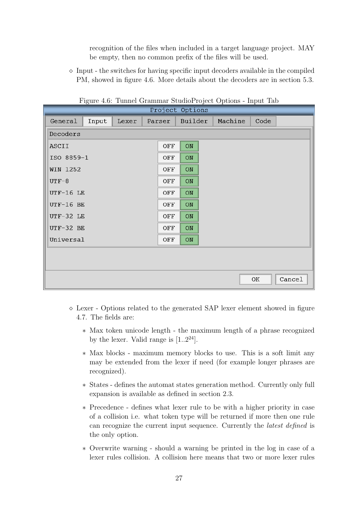recognition of the files when included in a target language project. MAY be empty, then no common prefix of the files will be used.

 $\Diamond$  Input - the switches for having specific input decoders available in the compiled PM, showed in figure [4.6.](#page-27-0) More details about the decoders are in section [5.3.](#page-41-0)

| r igure 4.0. Tunner Grammar Studior roject Options - mput Tap<br>Project Options |       |       |  |        |                      |  |         |      |        |  |  |  |
|----------------------------------------------------------------------------------|-------|-------|--|--------|----------------------|--|---------|------|--------|--|--|--|
|                                                                                  |       |       |  |        |                      |  |         |      |        |  |  |  |
| General                                                                          | Input | Lexer |  | Parser | Builder              |  | Machine | Code |        |  |  |  |
| Decoders                                                                         |       |       |  |        |                      |  |         |      |        |  |  |  |
| ASCII                                                                            |       |       |  | OFF    | $_{\rm ON}$          |  |         |      |        |  |  |  |
| ISO 8859-1                                                                       |       |       |  | OFF    | ON                   |  |         |      |        |  |  |  |
| WIN 1252                                                                         |       |       |  | OFF    | $\mathsf{ON}\xspace$ |  |         |      |        |  |  |  |
| $UTF-8$                                                                          |       |       |  | OFF    | ON                   |  |         |      |        |  |  |  |
| UTF-16 LE                                                                        |       |       |  | OFF    | ON                   |  |         |      |        |  |  |  |
| UTF-16 BE                                                                        |       |       |  | OFF    | ON                   |  |         |      |        |  |  |  |
| UTF-32 LE                                                                        |       |       |  | OFF    | ON                   |  |         |      |        |  |  |  |
| UTF-32 BE                                                                        |       |       |  | OFF    | $_{\rm ON}$          |  |         |      |        |  |  |  |
| Universal                                                                        |       |       |  | OFF    | ON                   |  |         |      |        |  |  |  |
|                                                                                  |       |       |  |        |                      |  |         |      |        |  |  |  |
|                                                                                  |       |       |  |        |                      |  |         |      |        |  |  |  |
|                                                                                  |       |       |  |        |                      |  |         | OK   | Cancel |  |  |  |

<span id="page-27-0"></span>Figure 4.6: Tunnel Grammar StudioProject Options - Input Tab

- $\Diamond$  Lexer Options related to the generated SAP lexer element showed in figure [4.7.](#page-28-0) The fields are:
	- ∗ Max token unicode length the maximum length of a phrase recognized by the lexer. Valid range is  $[1..2^{24}]$ .
	- ∗ Max blocks maximum memory blocks to use. This is a soft limit any may be extended from the lexer if need (for example longer phrases are recognized).
	- ∗ States defines the automat states generation method. Currently only full expansion is available as defined in section [2.3.](#page-17-3)
	- ∗ Precedence defines what lexer rule to be with a higher priority in case of a collision i.e. what token type will be returned if more then one rule can recognize the current input sequence. Currently the latest defined is the only option.
	- ∗ Overwrite warning should a warning be printed in the log in case of a lexer rules collision. A collision here means that two or more lexer rules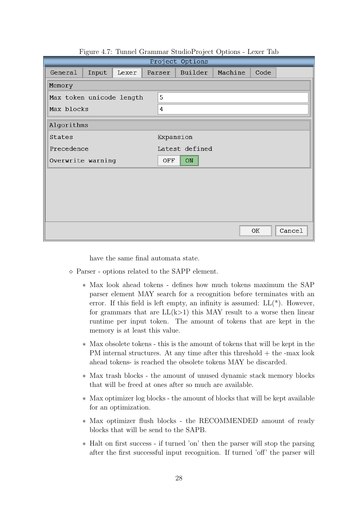| Project Options          |       |       |  |           |                |  |         |      |        |  |  |  |  |
|--------------------------|-------|-------|--|-----------|----------------|--|---------|------|--------|--|--|--|--|
| General                  | Input | Lexer |  | Parser    | Builder        |  | Machine | Code |        |  |  |  |  |
| Memory                   |       |       |  |           |                |  |         |      |        |  |  |  |  |
| Max token unicode length |       |       |  | 5         |                |  |         |      |        |  |  |  |  |
| Max blocks               |       |       |  | 4         |                |  |         |      |        |  |  |  |  |
| Algorithms               |       |       |  |           |                |  |         |      |        |  |  |  |  |
| States                   |       |       |  | Expansion |                |  |         |      |        |  |  |  |  |
| Precedence               |       |       |  |           | Latest defined |  |         |      |        |  |  |  |  |
| Overwrite warning        |       |       |  | OFF       | ON             |  |         |      |        |  |  |  |  |
|                          |       |       |  |           |                |  |         |      |        |  |  |  |  |
|                          |       |       |  |           |                |  |         |      |        |  |  |  |  |
|                          |       |       |  |           |                |  |         |      |        |  |  |  |  |
|                          |       |       |  |           |                |  |         |      |        |  |  |  |  |
|                          |       |       |  |           |                |  |         | OK   | Cancel |  |  |  |  |

<span id="page-28-0"></span>Figure 4.7: Tunnel Grammar StudioProject Options - Lexer Tab

have the same final automata state.

- Parser options related to the SAPP element.
	- ∗ Max look ahead tokens defines how much tokens maximum the SAP parser element MAY search for a recognition before terminates with an error. If this field is left empty, an infinity is assumed:  $LL(*)$ . However, for grammars that are  $LL(k>1)$  this MAY result to a worse then linear runtime per input token. The amount of tokens that are kept in the memory is at least this value.
	- ∗ Max obsolete tokens this is the amount of tokens that will be kept in the PM internal structures. At any time after this threshold  $+$  the -max look ahead tokens- is reached the obsolete tokens MAY be discarded.
	- ∗ Max trash blocks the amount of unused dynamic stack memory blocks that will be freed at ones after so much are available.
	- ∗ Max optimizer log blocks the amount of blocks that will be kept available for an optimization.
	- ∗ Max optimizer flush blocks the RECOMMENDED amount of ready blocks that will be send to the SAPB.
	- ∗ Halt on first success if turned 'on' then the parser will stop the parsing after the first successful input recognition. If turned 'off' the parser will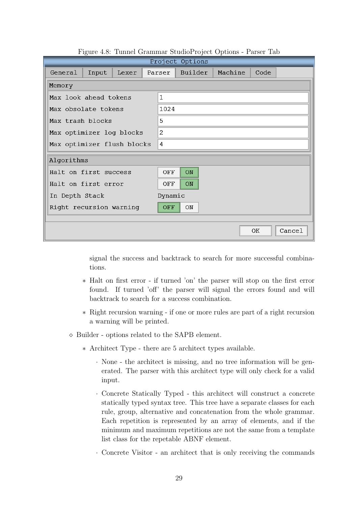|                            |       |       |  |                  | Project Options |  |         |      |        |  |  |  |  |  |
|----------------------------|-------|-------|--|------------------|-----------------|--|---------|------|--------|--|--|--|--|--|
| General                    | Input | Lexer |  | Parser           | Builder         |  | Machine | Code |        |  |  |  |  |  |
| Memory                     |       |       |  |                  |                 |  |         |      |        |  |  |  |  |  |
| Max look ahead tokens      |       |       |  | $\mathbf{1}$     |                 |  |         |      |        |  |  |  |  |  |
| Max obsolate tokens        |       |       |  | 1024             |                 |  |         |      |        |  |  |  |  |  |
| Max trash blocks           |       |       |  | 5                |                 |  |         |      |        |  |  |  |  |  |
| Max optimizer log blocks   |       |       |  | 2                |                 |  |         |      |        |  |  |  |  |  |
| Max optimizer flush blocks |       |       |  | 4                |                 |  |         |      |        |  |  |  |  |  |
| Algorithms                 |       |       |  |                  |                 |  |         |      |        |  |  |  |  |  |
| Halt on first success      |       |       |  | OFF              | ON              |  |         |      |        |  |  |  |  |  |
| Halt on first error        |       |       |  | OFF              | ON              |  |         |      |        |  |  |  |  |  |
| In Depth Stack             |       |       |  | Dynamic          |                 |  |         |      |        |  |  |  |  |  |
| Right recursion warning    |       |       |  | <b>OFF</b><br>ON |                 |  |         |      |        |  |  |  |  |  |
|                            |       |       |  |                  |                 |  |         |      |        |  |  |  |  |  |
|                            |       |       |  |                  |                 |  |         | 0K   | Cancel |  |  |  |  |  |

Figure 4.8: Tunnel Grammar StudioProject Options - Parser Tab

signal the success and backtrack to search for more successful combinations.

- ∗ Halt on first error if turned 'on' the parser will stop on the first error found. If turned 'off' the parser will signal the errors found and will backtrack to search for a success combination.
- ∗ Right recursion warning if one or more rules are part of a right recursion a warning will be printed.
- $\diamond$  Builder options related to the SAPB element.
	- ∗ Architect Type there are 5 architect types available.
		- · None the architect is missing, and no tree information will be generated. The parser with this architect type will only check for a valid input.
		- · Concrete Statically Typed this architect will construct a concrete statically typed syntax tree. This tree have a separate classes for each rule, group, alternative and concatenation from the whole grammar. Each repetition is represented by an array of elements, and if the minimum and maximum repetitions are not the same from a template list class for the repetable ABNF element.
		- · Concrete Visitor an architect that is only receiving the commands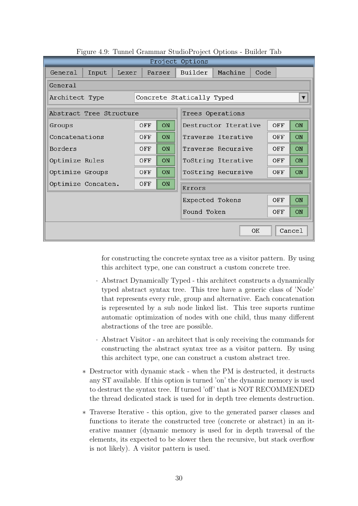|                                             |                     |       |     |        |  | Project Options           |                      |      |     |                         |  |  |  |
|---------------------------------------------|---------------------|-------|-----|--------|--|---------------------------|----------------------|------|-----|-------------------------|--|--|--|
| General                                     | Input               | Lexer |     | Parser |  | Builder                   | Machine              | Code |     |                         |  |  |  |
| General                                     |                     |       |     |        |  |                           |                      |      |     |                         |  |  |  |
| Architect Type                              |                     |       |     |        |  | Concrete Statically Typed |                      |      |     | $\overline{\mathbf{v}}$ |  |  |  |
| Abstract Tree Structure<br>Trees Operations |                     |       |     |        |  |                           |                      |      |     |                         |  |  |  |
| Groups                                      |                     |       | OFF | ON     |  |                           | Destructor Iterative |      | OFF | ON                      |  |  |  |
| Concatenations                              |                     |       | OFF | ON     |  |                           | Traverse Iterative   |      | OFF | ON                      |  |  |  |
| Borders                                     |                     |       | OFF | ON     |  | Traverse Recursive        | OFF                  | ON   |     |                         |  |  |  |
| Optimize Rules                              |                     |       | OFF | ON     |  |                           | ToString Iterative   |      | OFF | ON                      |  |  |  |
| Optimize Groups                             |                     |       | OFF | ON     |  |                           | ToString Recursive   |      | OFF | <b>ON</b>               |  |  |  |
| Optimize Concaten.                          |                     |       | OFF | ON     |  | Errors                    |                      |      |     |                         |  |  |  |
|                                             |                     |       |     |        |  | Expected Tokens           |                      |      | OFF | ON                      |  |  |  |
|                                             |                     | OFF   | ON  |        |  |                           |                      |      |     |                         |  |  |  |
|                                             | Cancel<br><b>OK</b> |       |     |        |  |                           |                      |      |     |                         |  |  |  |

Figure 4.9: Tunnel Grammar StudioProject Options - Builder Tab

for constructing the concrete syntax tree as a visitor pattern. By using this architect type, one can construct a custom concrete tree.

- · Abstract Dynamically Typed this architect constructs a dynamically typed abstract syntax tree. This tree have a generic class of 'Node' that represents every rule, group and alternative. Each concatenation is represented by a sub node linked list. This tree suports runtime automatic optimization of nodes with one child, thus many different abstractions of the tree are possible.
- · Abstract Visitor an architect that is only receiving the commands for constructing the abstract syntax tree as a visitor pattern. By using this architect type, one can construct a custom abstract tree.
- ∗ Destructor with dynamic stack when the PM is destructed, it destructs any ST available. If this option is turned 'on' the dynamic memory is used to destruct the syntax tree. If turned 'off' that is NOT RECOMMENDED the thread dedicated stack is used for in depth tree elements destruction.
- ∗ Traverse Iterative this option, give to the generated parser classes and functions to iterate the constructed tree (concrete or abstract) in an iterative manner (dynamic memory is used for in depth traversal of the elements, its expected to be slower then the recursive, but stack overflow is not likely). A visitor pattern is used.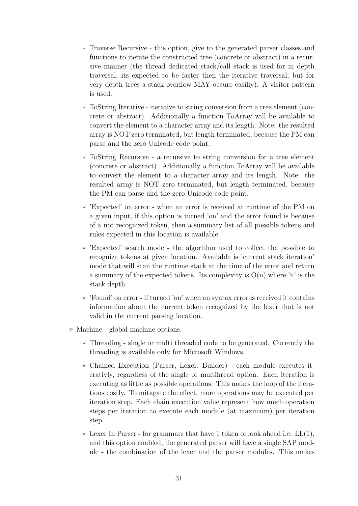- ∗ Traverse Recursive this option, give to the generated parser classes and functions to iterate the constructed tree (concrete or abstract) in a recursive manner (the thread dedicated stack/call stack is used for in depth traversal, its expected to be faster then the iterative traversal, but for very depth trees a stack overflow MAY occure easiliy). A visitor pattern is used.
- ∗ ToString Iterative iterative to string conversion from a tree element (concrete or abstract). Additionally a function ToArray will be available to convert the element to a character array and its length. Note: the resulted array is NOT zero terminated, but length terminated, because the PM can parse and the zero Unicode code point.
- ∗ ToString Recursive a recursive to string conversion for a tree element (concrete or abstract). Additionally a function ToArray will be available to convert the element to a character array and its length. Note: the resulted array is NOT zero terminated, but length terminated, because the PM can parse and the zero Unicode code point.
- ∗ 'Expected' on error when an error is received at runtime of the PM on a given input, if this option is turned 'on' and the error found is because of a not recognized token, then a summary list of all possible tokens and rules expected in this location is available.
- ∗ 'Expected' search mode the algorithm used to collect the possible to recognize tokens at given location. Available is 'current stack iteration' mode that will scan the runtime stack at the time of the error and return a summary of the expected tokens. Its complexity is  $O(n)$  where 'n' is the stack depth.
- ∗ 'Found' on error if turned 'on' when an syntax error is received it contains information about the current token recognized by the lexer that is not valid in the current parsing location.
- $\diamond$  Machine global machine options.
	- ∗ Threading single or multi threaded code to be generated. Currently the threading is available only for Microsoft Windows.
	- ∗ Chained Execution (Parser, Lexer, Builder) each module executes iterativly, regardless of the single or multihread option. Each iteration is executing as little as possible operations. This makes the loop of the iterations costly. To mitagate the effect, more operations may be executed per iteration step. Each chain execution value represent how much operation steps per iteration to execute each module (at maximum) per iteration step.
	- ∗ Lexer In Parser for grammars that have 1 token of look ahead i.e. LL(1), and this option enabled, the generated parser will have a single SAP module - the combination of the lexer and the parser modules. This makes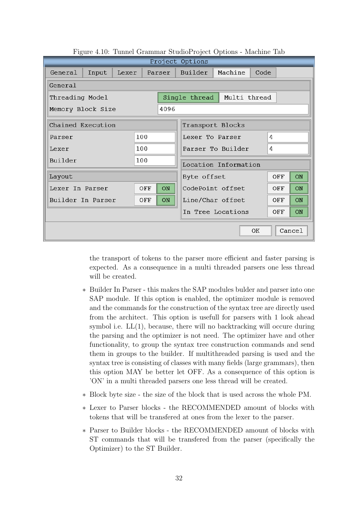|                   | Project Options     |       |     |           |                                   |                      |      |     |    |  |  |  |  |  |
|-------------------|---------------------|-------|-----|-----------|-----------------------------------|----------------------|------|-----|----|--|--|--|--|--|
| General           | Input               | Lexer |     | Parser    | Builder                           | Machine              | Code |     |    |  |  |  |  |  |
| General           |                     |       |     |           |                                   |                      |      |     |    |  |  |  |  |  |
| Threading Model   |                     |       |     |           | Single thread $ $<br>Multi thread |                      |      |     |    |  |  |  |  |  |
| Memory Block Size |                     |       |     | 4096      |                                   |                      |      |     |    |  |  |  |  |  |
| Chained Execution |                     |       |     |           |                                   | Transport Blocks     |      |     |    |  |  |  |  |  |
| Parser            |                     |       | 100 |           | Lexer To Parser                   |                      | 4    |     |    |  |  |  |  |  |
| Lexer             |                     |       | 100 |           | 4<br>Parser To Builder            |                      |      |     |    |  |  |  |  |  |
| Builder           |                     |       | 100 |           |                                   | Location Information |      |     |    |  |  |  |  |  |
| Layout            |                     |       |     |           | Byte offset                       |                      |      | OFF | ON |  |  |  |  |  |
| Lexer In Parser   |                     |       | OFF | <b>ON</b> |                                   | CodePoint offset     |      | OFF | ON |  |  |  |  |  |
| Builder In Parser |                     |       | OFF | ON        |                                   | Line/Char offset     |      | OFF | ON |  |  |  |  |  |
|                   |                     |       |     |           |                                   | In Tree Locations    |      | OFF | ON |  |  |  |  |  |
|                   | Cancel<br><b>OK</b> |       |     |           |                                   |                      |      |     |    |  |  |  |  |  |

Figure 4.10: Tunnel Grammar StudioProject Options - Machine Tab

the transport of tokens to the parser more efficient and faster parsing is expected. As a consequence in a multi threaded parsers one less thread will be created.

- ∗ Builder In Parser this makes the SAP modules bulder and parser into one SAP module. If this option is enabled, the optimizer module is removed and the commands for the construction of the syntax tree are directly used from the architect. This option is usefull for parsers with 1 look ahead symbol i.e.  $LL(1)$ , because, there will no backtracking will occure during the parsing and the optimizer is not need. The optimizer have and other functionality, to group the syntax tree construction commands and send them in groups to the builder. If multithreaded parsing is used and the syntax tree is consisting of classes with many fields (large grammars), then this option MAY be better let OFF. As a consequence of this option is 'ON' in a multi threaded parsers one less thread will be created.
- ∗ Block byte size the size of the block that is used across the whole PM.
- ∗ Lexer to Parser blocks the RECOMMENDED amount of blocks with tokens that will be transfered at ones from the lexer to the parser.
- ∗ Parser to Builder blocks the RECOMMENDED amount of blocks with ST commands that will be transfered from the parser (specifically the Optimizer) to the ST Builder.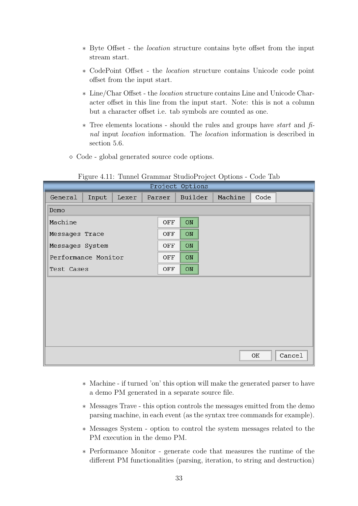- ∗ Byte Offset the location structure contains byte offset from the input stream start.
- ∗ CodePoint Offset the location structure contains Unicode code point offset from the input start.
- ∗ Line/Char Offset the location structure contains Line and Unicode Character offset in this line from the input start. Note: this is not a column but a character offset i.e. tab symbols are counted as one.
- ∗ Tree elements locations should the rules and groups have start and final input location information. The location information is described in section [5.6.](#page-43-0)
- Code global generated source code options.

| $\smash{\smash{\cup}}$ |       |       |        |     | Project Options |  | л.      |      |        |
|------------------------|-------|-------|--------|-----|-----------------|--|---------|------|--------|
| General                | Input | Lexer | Parser |     | Builder         |  | Machine | Code |        |
| Demo                   |       |       |        |     |                 |  |         |      |        |
| Machine                |       |       |        | OFF | ON              |  |         |      |        |
| Messages Trace         |       |       |        | OFF | ON              |  |         |      |        |
| Messages System        |       |       |        | OFF | $_{\rm ON}$     |  |         |      |        |
| Performance Monitor    |       |       |        | OFF | ON              |  |         |      |        |
| Test Cases             |       |       | OFF    | ON  |                 |  |         |      |        |
|                        |       |       |        |     |                 |  |         |      |        |
|                        |       |       |        |     |                 |  |         |      |        |
|                        |       |       |        |     |                 |  |         |      |        |
|                        |       |       |        |     |                 |  |         |      |        |
|                        |       |       |        |     |                 |  |         |      |        |
|                        |       |       |        |     |                 |  |         |      |        |
|                        |       |       |        |     |                 |  |         | OK   | Cancel |

Figure 4.11: Tunnel Grammar StudioProject Options - Code Tab

- ∗ Machine if turned 'on' this option will make the generated parser to have a demo PM generated in a separate source file.
- ∗ Messages Trave this option controls the messages emitted from the demo parsing machine, in each event (as the syntax tree commands for example).
- ∗ Messages System option to control the system messages related to the PM execution in the demo PM.
- ∗ Performance Monitor generate code that measures the runtime of the different PM functionalities (parsing, iteration, to string and destruction)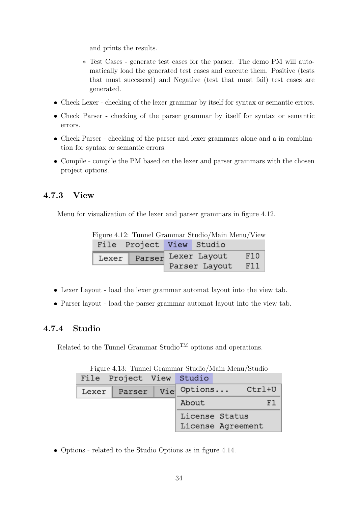and prints the results.

- ∗ Test Cases generate test cases for the parser. The demo PM will automatically load the generated test cases and execute them. Positive (tests that must succsseed) and Negative (test that must fail) test cases are generated.
- Check Lexer checking of the lexer grammar by itself for syntax or semantic errors.
- Check Parser checking of the parser grammar by itself for syntax or semantic errors.
- Check Parser checking of the parser and lexer grammars alone and a in combination for syntax or semantic errors.
- Compile compile the PM based on the lexer and parser grammars with the chosen project options.

### <span id="page-34-0"></span>4.7.3 View

Menu for visualization of the lexer and parser grammars in figure [4.12.](#page-34-2)

<span id="page-34-2"></span>Figure 4.12: Tunnel Grammar Studio/Main Menu/View File Project View Studio Parser Lexer Layout F10 Lexer Parser Layout F11

- Lexer Layout load the lexer grammar automat layout into the view tab.
- Parser layout load the parser grammar automat layout into the view tab.

### <span id="page-34-1"></span>4.7.4 Studio

Related to the Tunnel Grammar Studio<sup>TM</sup> options and operations.

| File Project View Studio |                                     |  |
|--------------------------|-------------------------------------|--|
| Lexer   Parser   Vie     | Options Ctrl+U                      |  |
|                          | About                               |  |
|                          | License Status<br>License Agreement |  |

Figure 4.13: Tunnel Grammar Studio/Main Menu/Studio

• Options - related to the Studio Options as in figure [4.14.](#page-35-0)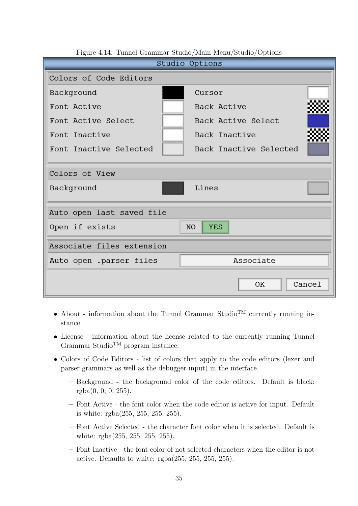| т туаго т.т.г. танног отанниаг юмаард манглионад юмаард орононо<br>Studio Options |                        |  |  |  |  |  |
|-----------------------------------------------------------------------------------|------------------------|--|--|--|--|--|
| Colors of Code Editors                                                            |                        |  |  |  |  |  |
| Background                                                                        | Cursor                 |  |  |  |  |  |
| Font Active                                                                       | Back Active            |  |  |  |  |  |
| Font Active Select                                                                | Back Active Select     |  |  |  |  |  |
| Font Inactive                                                                     | Back Inactive          |  |  |  |  |  |
| Font Inactive Selected                                                            | Back Inactive Selected |  |  |  |  |  |
|                                                                                   |                        |  |  |  |  |  |
| Colors of View                                                                    |                        |  |  |  |  |  |
| Background                                                                        | Lines                  |  |  |  |  |  |
| Auto open last saved file                                                         |                        |  |  |  |  |  |
| Open if exists<br>N <sub>O</sub><br><b>YES</b>                                    |                        |  |  |  |  |  |
| Associate files extension                                                         |                        |  |  |  |  |  |
| Auto open .parser files                                                           | Associate              |  |  |  |  |  |
|                                                                                   | Cancel<br><b>OK</b>    |  |  |  |  |  |

<span id="page-35-0"></span>Figure 4.14: Tunnel Grammar Studio/Main Menu/Studio/Options

- About information about the Tunnel Grammar Studio<sup>TM</sup> currently running instance.
- License information about the license related to the currently running Tunnel Grammar Studio<sup>TM</sup> program instance.
- Colors of Code Editors list of colors that apply to the code editors (lexer and parser grammars as well as the debugger input) in the interface.
	- Background the background color of the code editors. Default is black: rgba(0, 0, 0, 255).
	- Font Active the font color when the code editor is active for input. Default is white: rgba(255, 255, 255, 255).
	- Font Active Selected the character font color when it is selected. Default is white: rgba(255, 255, 255, 255).
	- Font Inactive the font color of not selected characters when the editor is not active. Defaults to white: rgba(255, 255, 255, 255).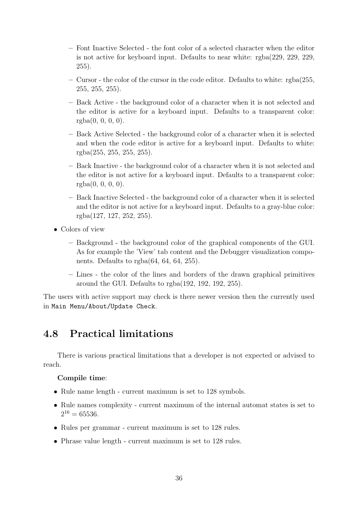- Font Inactive Selected the font color of a selected character when the editor is not active for keyboard input. Defaults to near white: rgba(229, 229, 229, 255).
- Cursor the color of the cursor in the code editor. Defaults to white: rgba(255, 255, 255, 255).
- Back Active the background color of a character when it is not selected and the editor is active for a keyboard input. Defaults to a transparent color:  $rgba(0, 0, 0, 0)$ .
- Back Active Selected the background color of a character when it is selected and when the code editor is active for a keyboard input. Defaults to white: rgba(255, 255, 255, 255).
- Back Inactive the background color of a character when it is not selected and the editor is not active for a keyboard input. Defaults to a transparent color:  $rgba(0, 0, 0, 0)$ .
- Back Inactive Selected the background color of a character when it is selected and the editor is not active for a keyboard input. Defaults to a gray-blue color: rgba(127, 127, 252, 255).
- Colors of view
	- Background the background color of the graphical components of the GUI. As for example the 'View' tab content and the Debugger visualization components. Defaults to rgba(64, 64, 64, 255).
	- Lines the color of the lines and borders of the drawn graphical primitives around the GUI. Defaults to rgba(192, 192, 192, 255).

The users with active support may check is there newer version then the currently used in Main Menu/About/Update Check.

# <span id="page-36-0"></span>4.8 Practical limitations

There is various practical limitations that a developer is not expected or advised to reach.

#### Compile time:

- Rule name length current maximum is set to 128 symbols.
- Rule names complexity current maximum of the internal automat states is set to  $2^{16} = 65536.$
- Rules per grammar current maximum is set to 128 rules.
- Phrase value length current maximum is set to 128 rules.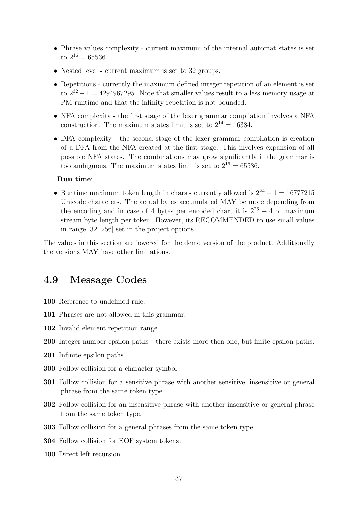- Phrase values complexity current maximum of the internal automat states is set to  $2^{16} = 65536$ .
- Nested level current maximum is set to 32 groups.
- Repetitions currently the maximum defined integer repetition of an element is set to  $2^{32} - 1 = 4294967295$ . Note that smaller values result to a less memory usage at PM runtime and that the infinity repetition is not bounded.
- NFA complexity the first stage of the lexer grammar compilation involves a NFA construction. The maximum states limit is set to  $2^{14} = 16384$ .
- DFA complexity the second stage of the lexer grammar compilation is creation of a DFA from the NFA created at the first stage. This involves expansion of all possible NFA states. The combinations may grow significantly if the grammar is too ambiguous. The maximum states limit is set to  $2^{16} = 65536$ .

#### Run time:

• Runtime maximum token length in chars - currently allowed is  $2^{24} - 1 = 16777215$ Unicode characters. The actual bytes accumulated MAY be more depending from the encoding and in case of 4 bytes per encoded char, it is  $2^{26} - 4$  of maximum stream byte length per token. However, its RECOMMENDED to use small values in range [32..256] set in the project options.

The values in this section are lowered for the demo version of the product. Additionally the versions MAY have other limitations.

### <span id="page-37-0"></span>4.9 Message Codes

- 100 Reference to undefined rule.
- 101 Phrases are not allowed in this grammar.
- 102 Invalid element repetition range.
- 200 Integer number epsilon paths there exists more then one, but finite epsilon paths.
- 201 Infinite epsilon paths.
- 300 Follow collision for a character symbol.
- 301 Follow collision for a sensitive phrase with another sensitive, insensitive or general phrase from the same token type.
- 302 Follow collision for an insensitive phrase with another insensitive or general phrase from the same token type.
- 303 Follow collision for a general phrases from the same token type.
- 304 Follow collision for EOF system tokens.
- 400 Direct left recursion.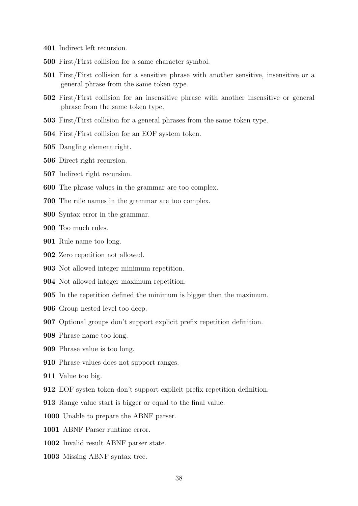- Indirect left recursion.
- First/First collision for a same character symbol.
- First/First collision for a sensitive phrase with another sensitive, insensitive or a general phrase from the same token type.
- First/First collision for an insensitive phrase with another insensitive or general phrase from the same token type.
- First/First collision for a general phrases from the same token type.
- First/First collision for an EOF system token.
- Dangling element right.
- Direct right recursion.
- Indirect right recursion.
- The phrase values in the grammar are too complex.
- The rule names in the grammar are too complex.
- Syntax error in the grammar.
- Too much rules.
- Rule name too long.
- Zero repetition not allowed.
- Not allowed integer minimum repetition.
- Not allowed integer maximum repetition.
- In the repetition defined the minimum is bigger then the maximum.
- Group nested level too deep.
- Optional groups don't support explicit prefix repetition definition.
- Phrase name too long.
- Phrase value is too long.
- Phrase values does not support ranges.
- Value too big.
- EOF systen token don't support explicit prefix repetition definition.
- Range value start is bigger or equal to the final value.
- Unable to prepare the ABNF parser.
- ABNF Parser runtime error.
- Invalid result ABNF parser state.
- Missing ABNF syntax tree.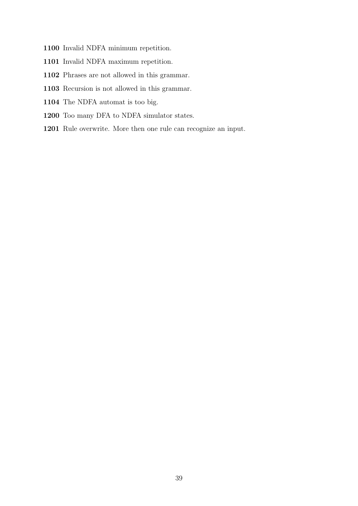- Invalid NDFA minimum repetition.
- Invalid NDFA maximum repetition.
- Phrases are not allowed in this grammar.
- Recursion is not allowed in this grammar.
- The NDFA automat is too big.
- Too many DFA to NDFA simulator states.
- Rule overwrite. More then one rule can recognize an input.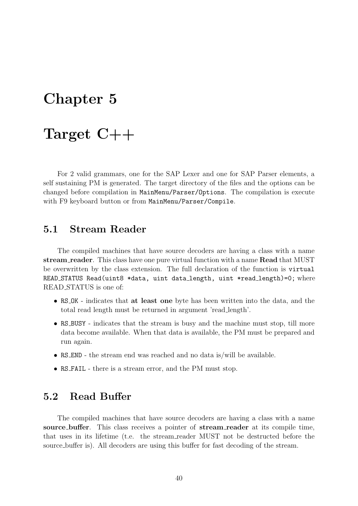# <span id="page-40-0"></span>Chapter 5

# Target C++

For 2 valid grammars, one for the SAP Lexer and one for SAP Parser elements, a self sustaining PM is generated. The target directory of the files and the options can be changed before compilation in MainMenu/Parser/Options. The compilation is execute with F9 keyboard button or from MainMenu/Parser/Compile.

## <span id="page-40-1"></span>5.1 Stream Reader

The compiled machines that have source decoders are having a class with a name stream reader. This class have one pure virtual function with a name Read that MUST be overwritten by the class extension. The full declaration of the function is virtual READ STATUS Read(uint8 \*data, uint data length, uint \*read length)=0; where READ STATUS is one of:

- RS\_OK indicates that **at least one** byte has been written into the data, and the total read length must be returned in argument 'read length'.
- RS\_BUSY indicates that the stream is busy and the machine must stop, till more data become available. When that data is available, the PM must be prepared and run again.
- RS END the stream end was reached and no data is/will be available.
- RS FAIL there is a stream error, and the PM must stop.

## <span id="page-40-2"></span>5.2 Read Buffer

The compiled machines that have source decoders are having a class with a name source buffer. This class receives a pointer of stream reader at its compile time, that uses in its lifetime (t.e. the stream reader MUST not be destructed before the source buffer is). All decoders are using this buffer for fast decoding of the stream.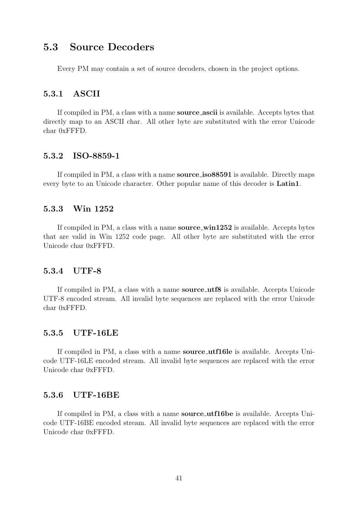# <span id="page-41-0"></span>5.3 Source Decoders

Every PM may contain a set of source decoders, chosen in the project options.

#### <span id="page-41-1"></span>5.3.1 ASCII

If compiled in PM, a class with a name source ascii is available. Accepts bytes that directly map to an ASCII char. All other byte are substituted with the error Unicode char 0xFFFD.

#### <span id="page-41-2"></span>5.3.2 ISO-8859-1

If compiled in PM, a class with a name source iso88591 is available. Directly maps every byte to an Unicode character. Other popular name of this decoder is Latin1.

#### <span id="page-41-3"></span>5.3.3 Win 1252

If compiled in PM, a class with a name **source\_win1252** is available. Accepts bytes that are valid in Win 1252 code page. All other byte are substituted with the error Unicode char 0xFFFD.

#### <span id="page-41-4"></span>5.3.4 UTF-8

If compiled in PM, a class with a name **source\_utf8** is available. Accepts Unicode UTF-8 encoded stream. All invalid byte sequences are replaced with the error Unicode char 0xFFFD.

#### <span id="page-41-5"></span>5.3.5 UTF-16LE

If compiled in PM, a class with a name source utf16le is available. Accepts Unicode UTF-16LE encoded stream. All invalid byte sequences are replaced with the error Unicode char 0xFFFD.

#### <span id="page-41-6"></span>5.3.6 UTF-16BE

If compiled in PM, a class with a name source utf16be is available. Accepts Unicode UTF-16BE encoded stream. All invalid byte sequences are replaced with the error Unicode char 0xFFFD.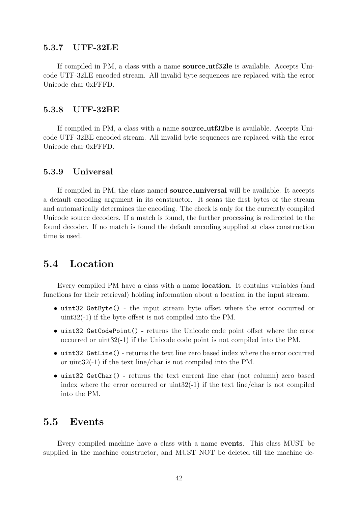#### <span id="page-42-0"></span>5.3.7 UTF-32LE

If compiled in PM, a class with a name **source\_utf32le** is available. Accepts Unicode UTF-32LE encoded stream. All invalid byte sequences are replaced with the error Unicode char 0xFFFD.

#### <span id="page-42-1"></span>5.3.8 UTF-32BE

If compiled in PM, a class with a name source\_utf32be is available. Accepts Unicode UTF-32BE encoded stream. All invalid byte sequences are replaced with the error Unicode char 0xFFFD.

#### <span id="page-42-2"></span>5.3.9 Universal

If compiled in PM, the class named **source universal** will be available. It accepts a default encoding argument in its constructor. It scans the first bytes of the stream and automatically determines the encoding. The check is only for the currently compiled Unicode source decoders. If a match is found, the further processing is redirected to the found decoder. If no match is found the default encoding supplied at class construction time is used.

## <span id="page-42-3"></span>5.4 Location

Every compiled PM have a class with a name location. It contains variables (and functions for their retrieval) holding information about a location in the input stream.

- uint32 GetByte() the input stream byte offset where the error occurred or uint32(-1) if the byte offset is not compiled into the PM.
- uint32 GetCodePoint() returns the Unicode code point offset where the error occurred or uint32(-1) if the Unicode code point is not compiled into the PM.
- uint32 GetLine() returns the text line zero based index where the error occurred or uint32(-1) if the text line/char is not compiled into the PM.
- uint32 GetChar() returns the text current line char (not column) zero based index where the error occurred or uint32(-1) if the text line/char is not compiled into the PM.

### <span id="page-42-4"></span>5.5 Events

Every compiled machine have a class with a name events. This class MUST be supplied in the machine constructor, and MUST NOT be deleted till the machine de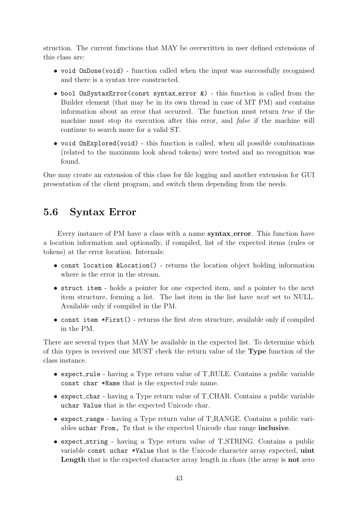struction. The current functions that MAY be overwritten in user defined extensions of this class are:

- void OnDone(void) function called when the input was successfully recognised and there is a syntax tree constructed.
- bool OnSyntaxError(const syntax\_error  $\&$ ) this function is called from the Builder element (that may be in its own thread in case of MT PM) and contains information about an error that occurred. The function must return true if the machine must stop its execution after this error, and *false* if the machine will continue to search more for a valid ST.
- void OnExplored(void) this function is called, when all possible combinations (related to the maximum look ahead tokens) were tested and no recognition was found.

One may create an extension of this class for file logging and another extension for GUI presentation of the client program, and switch them depending from the needs.

## <span id="page-43-0"></span>5.6 Syntax Error

Every instance of PM have a class with a name **syntax\_error**. This function have a location information and optionally, if compiled, list of the expected items (rules or tokens) at the error location. Internals:

- const location &Location() returns the location object holding information where is the error in the stream.
- struct item holds a pointer for one expected item, and a pointer to the next item structure, forming a list. The last item in the list have next set to NULL. Available only if compiled in the PM.
- const item  $*First()$  returns the first *item* structure, available only if compiled in the PM.

There are several types that MAY be available in the expected list. To determine which of this types is received one MUST check the return value of the Type function of the class instance.

- expect rule having a Type return value of T RULE. Contains a public variable const char \*Name that is the expected rule name.
- expect char having a Type return value of T CHAR. Contains a public variable uchar Value that is the expected Unicode char.
- expect range having a Type return value of T RANGE. Contains a public variables uchar From, To that is the expected Unicode char range inclusive.
- expect\_string having a Type return value of T\_STRING. Contains a public variable const uchar \*Value that is the Unicode character array expected, uint Length that is the expected character array length in chars (the array is **not** zero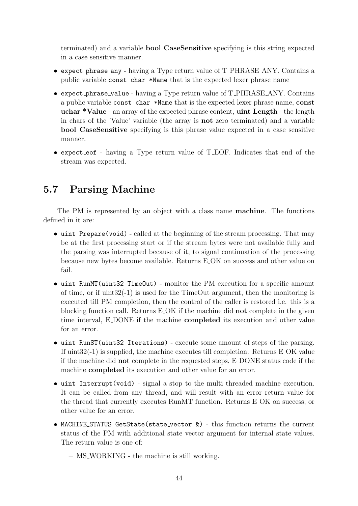terminated) and a variable bool CaseSensitive specifying is this string expected in a case sensitive manner.

- expect phrase any having a Type return value of T PHRASE ANY. Contains a public variable const char \*Name that is the expected lexer phrase name
- expect phrase value having a Type return value of T PHRASE ANY. Contains a public variable const char \*Name that is the expected lexer phrase name, const uchar \*Value - an array of the expected phrase content, uint Length - the length in chars of the 'Value' variable (the array is not zero terminated) and a variable bool CaseSensitive specifying is this phrase value expected in a case sensitive manner.
- expect eof having a Type return value of T EOF. Indicates that end of the stream was expected.

# <span id="page-44-0"></span>5.7 Parsing Machine

The PM is represented by an object with a class name machine. The functions defined in it are:

- uint Prepare(void) called at the beginning of the stream processing. That may be at the first processing start or if the stream bytes were not available fully and the parsing was interrupted because of it, to signal continuation of the processing because new bytes become available. Returns E OK on success and other value on fail.
- uint RunMT(uint32 TimeOut) monitor the PM execution for a specific amount of time, or if  $\text{uint32(-1)}$  is used for the TimeOut argument, then the monitoring is executed till PM completion, then the control of the caller is restored i.e. this is a blocking function call. Returns E OK if the machine did not complete in the given time interval, E DONE if the machine completed its execution and other value for an error.
- uint RunST(uint32 Iterations) execute some amount of steps of the parsing. If  $\text{uint32}(-1)$  is supplied, the machine executes till completion. Returns E\_OK value if the machine did not complete in the requested steps, E DONE status code if the machine completed its execution and other value for an error.
- uint Interrupt(void) signal a stop to the multi threaded machine execution. It can be called from any thread, and will result with an error return value for the thread that currently executes RunMT function. Returns E OK on success, or other value for an error.
- MACHINE STATUS GetState(state vector &) this function returns the current status of the PM with additional state vector argument for internal state values. The return value is one of:
	- MS WORKING the machine is still working.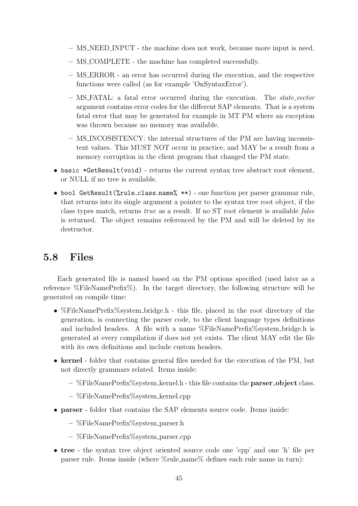- MS NEED INPUT the machine does not work, because more input is need.
- MS COMPLETE the machine has completed successfully.
- MS ERROR an error has occurred during the execution, and the respective functions were called (as for example 'OnSyntaxError').
- $-$  MS\_FATAL: a fatal error occurred during the execution. The state vector argument contains error codes for the different SAP elements. That is a system fatal error that may be generated for example in MT PM where an exception was thrown because no memory was available.
- MS INCOSISTENCY: the internal structures of the PM are having inconsistent values. This MUST NOT occur in practice, and MAY be a result from a memory corruption in the client program that changed the PM state.
- basic \*GetResult(void) returns the current syntax tree abstract root element, or NULL if no tree is available.
- bool GetResult(%rule class name% \*\*) one function per parser grammar rule, that returns into its single argument a pointer to the syntax tree root object, if the class types match, returns true as a result. If no ST root element is available false is returned. The object remains referenced by the PM and will be deleted by its destructor.

## <span id="page-45-0"></span>5.8 Files

Each generated file is named based on the PM options specified (used later as a reference %FileNamePrefix%). In the target directory, the following structure will be generated on compile time:

- %FileNamePrefix%system bridge.h this file, placed in the root directory of the generation, is connecting the parser code, to the client language types definitions and included headers. A file with a name %FileNamePrefix%system\_bridge.h is generated at every compilation if does not yet exists. The client MAY edit the file with its own definitions and include custom headers.
- kernel folder that contains general files needed for the execution of the PM, but not directly grammars related. Items inside:
	- $-$  %FileNamePrefix%system kernel.h this file contains the **parser object** class.
	- $-$  %FileNamePrefix%system\_kernel.cpp
- parser folder that contains the SAP elements source code. Items inside:
	- %FileNamePrefix%system parser.h
	- %FileNamePrefix%system parser.cpp
- tree the syntax tree object oriented source code one 'cpp' and one 'h' file per parser rule. Items inside (where %rule name% defines each rule name in turn):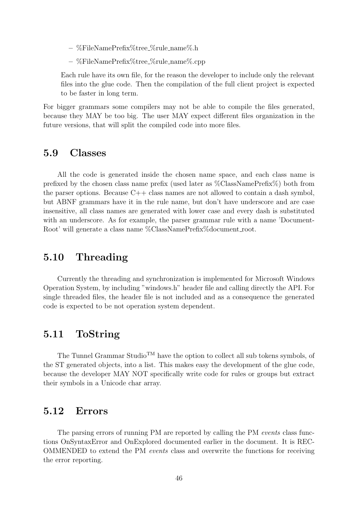- %FileNamePrefix%tree %rule name%.h
- %FileNamePrefix%tree %rule name%.cpp

Each rule have its own file, for the reason the developer to include only the relevant files into the glue code. Then the compilation of the full client project is expected to be faster in long term.

For bigger grammars some compilers may not be able to compile the files generated, because they MAY be too big. The user MAY expect different files organization in the future versions, that will split the compiled code into more files.

### <span id="page-46-0"></span>5.9 Classes

All the code is generated inside the chosen name space, and each class name is prefixed by the chosen class name prefix (used later as %ClassNamePrefix%) both from the parser options. Because C++ class names are not allowed to contain a dash symbol, but ABNF grammars have it in the rule name, but don't have underscore and are case insensitive, all class names are generated with lower case and every dash is substituted with an underscore. As for example, the parser grammar rule with a name 'Document-Root' will generate a class name %ClassNamePrefix%document\_root.

## <span id="page-46-1"></span>5.10 Threading

Currently the threading and synchronization is implemented for Microsoft Windows Operation System, by including "windows.h" header file and calling directly the API. For single threaded files, the header file is not included and as a consequence the generated code is expected to be not operation system dependent.

## <span id="page-46-2"></span>5.11 ToString

The Tunnel Grammar Studio<sup>TM</sup> have the option to collect all sub tokens symbols, of the ST generated objects, into a list. This makes easy the development of the glue code, because the developer MAY NOT specifically write code for rules or groups but extract their symbols in a Unicode char array.

### <span id="page-46-3"></span>5.12 Errors

The parsing errors of running PM are reported by calling the PM events class functions OnSyntaxError and OnExplored documented earlier in the document. It is REC-OMMENDED to extend the PM events class and overwrite the functions for receiving the error reporting.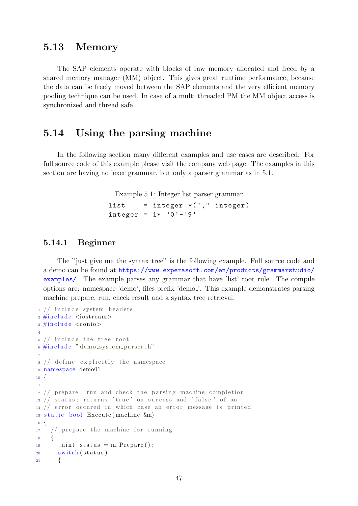## <span id="page-47-0"></span>5.13 Memory

The SAP elements operate with blocks of raw memory allocated and freed by a shared memory manager (MM) object. This gives great runtime performance, because the data can be freely moved between the SAP elements and the very efficient memory pooling technique can be used. In case of a multi threaded PM the MM object access is synchronized and thread safe.

## <span id="page-47-1"></span>5.14 Using the parsing machine

In the following section many different examples and use cases are described. For full source code of this example please visit the company web page. The examples in this section are having no lexer grammar, but only a parser grammar as in [5.1.](#page-47-3)

<span id="page-47-3"></span>Example 5.1: Integer list parser grammar

```
list = integer *("," integer)
integer = 1* '0' - '9'
```
#### <span id="page-47-2"></span>5.14.1 Beginner

The "just give me the syntax tree" is the following example. Full source code and a demo can be found at [https://www.experasoft.com/en/products/grammarstudio/](https://www.experasoft.com/en/products/grammarstudio/examples/) [examples/](https://www.experasoft.com/en/products/grammarstudio/examples/). The example parses any grammar that have 'list' root rule. The compile options are: namespace 'demo', files prefix 'demo '. This example demonstrates parsing machine prepare, run, check result and a syntax tree retrieval.

```
1 // include system headers
_2 \#include \langle include \langle iostream\rangle3 \#include \langle conio \rangle4
5 // include the tree root
6 \#include " demo_system_parser.h"
7
s // define explicitly the namespace
9 namespace demo01
10 \begin{array}{c} 1 \end{array}11
12 // prepare, run and check the parsing machine completion
13 // status; returns 'true' on success and 'false' of an
14 // error occured in which case an error message is printed
15 static bool Execute (machine &m)
16 \frac{1}{2}17 // prepare the machine for running
18 {
19 \Box uint status = m. Prepare ();
20 switch (status)
21 {
```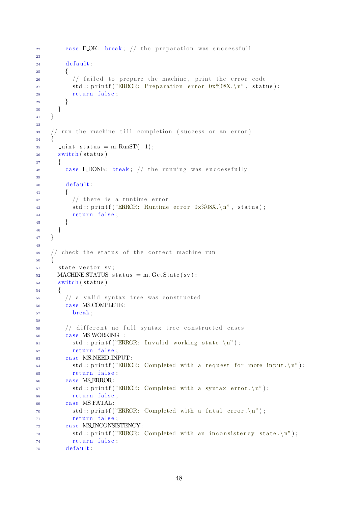```
22 case EOK: break; // the preparation was successfull
23
24 default:
25 {
\frac{26}{7} // failed to prepare the machine, print the error code
27 std:: \text{print}( \text{"ERROR: Preparation error } 0 \text{x} \% 08 \text{X.} \ \text{'n''}, \text{ status});28 return false;
29 }
30 }
31 }
32
33 / run the machine till completion (success or an error)
34 {
35 _uint status = m. RunST(-1);
36 switch (status)
37 {
38 case EDONE: break; // the running was successfully
39
40 default:
41 {
\frac{42}{7} // there is a runtime error
43 std:: \text{print}( \text{"ERROR: Runtime error } 0 \text{x} \text{\%} 08 \text{X}. \text{'n''}, status);44 return false;
45 }
46 }
47 }
48
49 // check the status of the correct machine run
50 {
51 state_vector sv;
_{52} MACHINE STATUS status = m. GetState (sv);
53 switch (status)
54 {
\frac{1}{4} // a valid syntax tree was constructed
56 case MS_COMPLETE:
57 break ;
58
59 // different no full syntax tree constructed cases
60 case MS_WORKING :
61 std:: printf ("ERROR: Invalid working state.\langle n'' \rangle;
62 return false;
63 case MS_NEED_INPUT:
64 std:: printf ("ERROR: Completed with a request for more input \langle n'' \rangle;
65 return false:
66 case MS_ERROR:
67 std:: printf ("ERROR: Completed with a syntax error. \n");
68 return false;
69 case MSFATAL:
70 std:: printf ("ERROR: Completed with a fatal error. \n");
71 return false ;
<sup>72</sup> case MS_INCONSISTENCY:
\text{std}:: printf ("ERROR: Completed with an inconsistency state.\n");
74 return false;
75 default:
```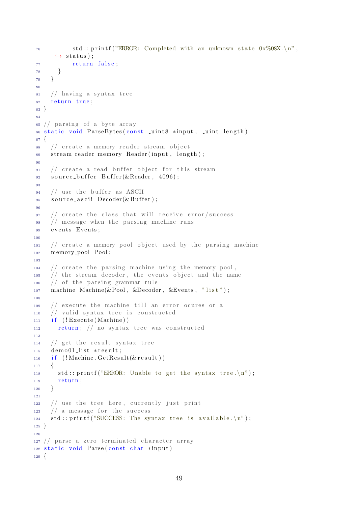```
\tau_6 std:: printf ("ERROR: Completed with an unknown state 0x\%08X \n\cdot \n\cdot n",
      \leftrightarrow status);
77 return false;
78 }
79 }
80
\frac{1}{81} // having a syntax tree
82 return true;
83 }
84
85 // parsing of a byte array
86 static void ParseBytes (const _uint8 *input, _uint length)
87 {
88 // create a memory reader stream object
89 stream_reader_memory Reader(input, length);
90
91 // create a read buffer object for this stream
92 source_buffer Buffer(&Reader, 4096);
\alpha94 // use the buffer as ASCII
95 source_ascii Decoder(&Buffer);
96
97 // create the class that will receive error/success
98 / message when the parsing machine runs
99 events Events;
100
101 // create a memory pool object used by the parsing machine
102 memory pool Pool ;
103
104 // create the parsing machine using the memory pool,
105 // the stream decoder, the events object and the name
106 // of the parsing grammar rule
107 machine Machine(&Pool, &Decoder, &Events, "list");
108
109 // execute the machine till an error ocures or a
110 // valid syntax tree is constructed
111 if (! Execute (Machine))112 return; // no syntax tree was constructed
113
114 // get the result syntax tree
_{115} demo01_list *result;
_{116} if (! Machine. GetResult (& result))
117 \frac{11}{2}118 std:: printf ("ERROR: Unable to get the syntax tree.\langle n" \rangle;
119 return;
_{120} }
121
122 // use the tree here, currently just print
123 // a message for the success
124 std:: printf ("SUCCESS: The syntax tree is available.\langle n'' \rangle;
125 }
126
127 // parse a zero terminated character array
128 static void Parse (const char *input)
129 \begin{array}{c} 1 \end{array}
```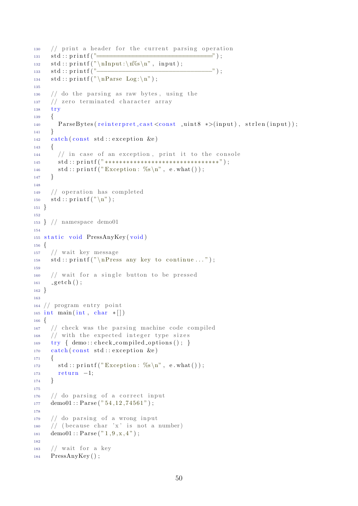```
130 // p r i n t a he ade r f o r the c u r r e n t p a r si n g o p e r a ti o n
_{131} std:: print(f) =
132 std:: printf ("\nInput:\n%s\n", input);
133 s t d : : p r i n t f ( "−−−−−−−−−−−−−−−−−−−−−−−−−−−−−−−−" ) ;
134 s t d : : p r i n t f ( "\ nParse Log : \ n" ) ;
135
136 // do the parsing as raw bytes, using the
137 // zero terminated character array
138 try
139 {
ParseBytes(reinterpret\_cast < const\_uint8 \ *>(input), strlen(input));141 }
_{142} catch (const std: exception &e)
143 {
144 // in case of an exception, print it to the console
145 s t d : : p r i n t f ( " ∗∗∗∗∗∗∗∗∗∗∗∗∗∗∗∗∗∗∗∗∗∗∗∗∗∗∗∗∗∗∗∗ " ) ;
146 std:: \text{print}( \text{"Exception: %s \n}, \text{ e. what}());147 }
148
149 // operation has completed
150 \quad std:: print(f' \n\langle n" \rangle);151 }
152
153 } // namespace demo01
154
155 static void PressAnyKey (void)
156 {
157 // wait key message
158 std:: \text{print}( \sqrt[n]{n\text{Press any key to continue ...}}159
160 // wait for a single button to be pressed
_{161} getch ();
162 }
163
164 // program entry point
_{165} int main (int, char *[])
166 \begin{array}{c} 1 \end{array}167 // check was the parsing machine code compiled
168 // with the expected integer type sizes
169 try { demo:: check_compiled_options (); }
170 catch (const std: exception &e)
171 {
172 std:: \text{print}( "Exception: \%s \n", e.what () );
173 return -1;
174 }
175
176 // do parsing of a correct input
177 \text{ demo01} :: \text{Parse}("54, 12, 74561");
178
179 // do parsing of a wrong input
180 // (because char 'x' is not a number)
181 demo01:: Parse("1, 9, x, 4");
182
183 // wait for a key
184 PressAnyKey ( ) ;
```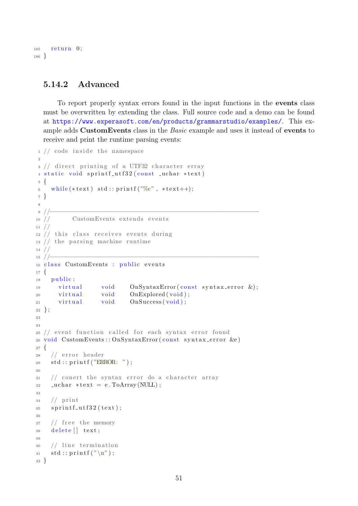185 return 0; <sup>186</sup> }

#### <span id="page-51-0"></span>5.14.2 Advanced

To report properly syntax errors found in the input functions in the events class must be overwritten by extending the class. Full source code and a demo can be found at <https://www.experasoft.com/en/products/grammarstudio/examples/>. This example adds CustomEvents class in the Basic example and uses it instead of events to receive and print the runtime parsing events:

```
1 // code inside the namespace
 2
3 // direct printing of a UTF32 character erray
4 static void sprintf_utf32(const _uchar *text)
5 {
6 while (* text ) std:: printf ("\%c", *text++);
7 }
8
 9 //−−−−−−−−−−−−−−−−−−−−−−−−−−−−−−−−−−−−−−−−−−−−−−−−−−−−−−−−−−
10 // CustomEvents extends events
11 //
12 // this class receives events during
13 // the parsing machine runtime
14 //
15 //−−−−−−−−−−−−−−−−−−−−−−−−−−−−−−−−−−−−−−−−−−−−−−−−−−−−−−−−−−
16 class CustomEvents : public events
17 \frac{1}{2}18 public:
19 virtual void OnSyntaxError (const syntax_error &);
20 virtual void OnExplored (void);
21 virtual void OnSuccess (void);
22 \};
23
24
25 // event function called for each syntax error found
26 void CustomEvents :: OnSyntaxError (const syntax_error &e)
27 \frac{2}{ }28 // error header
29 std:: printf ("ERROR: ");
30
31 // conert the syntax error do a character array
32 \quad \text{uchar} \; * \text{text} = \text{e} \cdot \text{ToArray} (\text{NULL});
33
34 // print
35 sprintf_utf32(text);
36
37 // free the memory
38 de lete [] text;
39
40 / line termination
41 \operatorname{std} :: \operatorname{printf}(\sqrt[m]{n});
42 }
```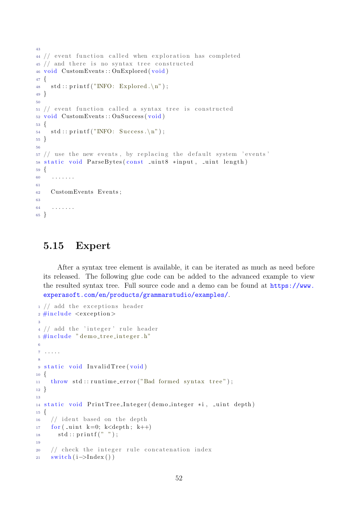```
43
44 // event function called when exploration has completed
45 // and there is no syntax tree constructed
46 v oid CustomEvents : : OnExplored ( v oid )
47 \frac{1}{2}48 std:: print(f("INFO: Explored.\n\cdot^n);49 }
50
51 // event function called a syntax tree is constructed
52 void CustomEvents : : OnSuccess (void)
53 {
54 \quad std :: printf ("INFO: Success.\n");
55 }
56
57 // use the new events, by replacing the default system 'events'
58 static void ParseBytes (const _uint8 *input, _uint length)
59 {
60 . . . . . . .
61
62 CustomEvents Events ;
63
64 . . . . . . .
65 }
```
## <span id="page-52-0"></span>5.15 Expert

After a syntax tree element is available, it can be iterated as much as need before its released. The following glue code can be added to the advanced example to view the resulted syntax tree. Full source code and a demo can be found at [https://www.](https://www.experasoft.com/en/products/grammarstudio/examples/) [experasoft.com/en/products/grammarstudio/examples/](https://www.experasoft.com/en/products/grammarstudio/examples/).

```
1 // add the exceptions header
\frac{1}{2} #include <exception>
3
4 // add the 'integer' rule header
5 \#include" demo_tree_integer.h
6
7 . . . . .
8
9 static void InvalidTree (void)
10 \frac{1}{2}11 throw std:: runtime_error ("Bad formed syntax tree");
12 }
13
14 static void PrintTree_Integer (demo_integer *i, _uint depth)
15 \frac{1}{2}16 // ident based on the depth
17 for (\text{unit } k=0; k<depth; k++)
18 \text{std} :: \text{print}( \text{''} \text{''} );19
20 // check the integer rule concatenation index
21 switch (i–>Index ())
```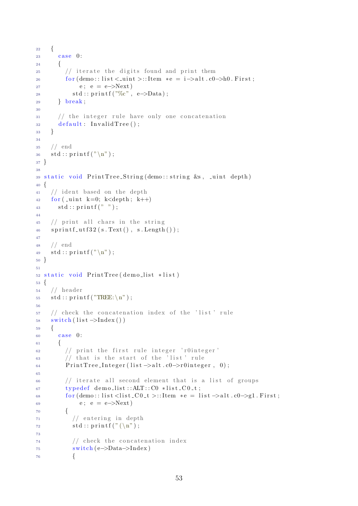```
22 \left\{ \begin{array}{c} 2 & 2 \end{array} \right\}23 case 0:
24 {
\frac{25}{7} // iterate the digits found and print them
26 for (demo:: l i s t < _ u i n t >:: Item * e = i -> alt . c0 -> h0. F irst;
27 e; e = e->Next)
28 std :: \text{print}( \text{ "%c", e->Data)};
29 } break ;
30
31 // the integer rule have only one concatenation
32 \text{ default}: \text{InvalidTree}();33 }
34
35 // end
36 \quad std :: printf ("\n");
37 }
38
39 static void PrintTree_String (demo:: string &s, _uint depth)
40 {
41 // ident based on the depth
42 for (\text{unit } k=0; k<depth; k++)
43 std:: print(f ( " " ) ;44
45 // print all chars in the string
46 sprintf_utf32(s.Text(), s.Length());
47
48 // end
49 \quad std :: print(f('\\n'');50 }
51
52 static void PrintTree (demo_list *list)
53 {
54 // header
55 \quad std :: print(f("TREE:\n\mid n");
56
57 // check the concatenation index of the 'list' rule
58 switch (\text{list} \rightarrow \text{Index}())
59 {
\cos \theta case 0:
61 {
\frac{62}{7} // print the first rule integer 'r0integer'
\frac{63}{16} // that is the start of the 'list' rule
64 Print Tree_Integer (list \rightarrowalt .c0\rightarrowr0integer, 0);
65
\frac{66}{166} // iterate all second element that is a list of groups
67 typedef demolist::ALT :: CO *list_CO_t;
68 for (demo::list <math>\text{list}\_\text{Out} \rightarrow \text{iftem} *e = list \rightarrow alt \cdot c0 \rightarrow g1. First;
69 e; e = e->Next)
70 {
\frac{71}{2} // entering in depth
\text{std} :: \text{print}( \text{``} (\text{''});
73
\frac{74}{10} // check the concatenation index
75 switch (e->Data->Index)
76 {
```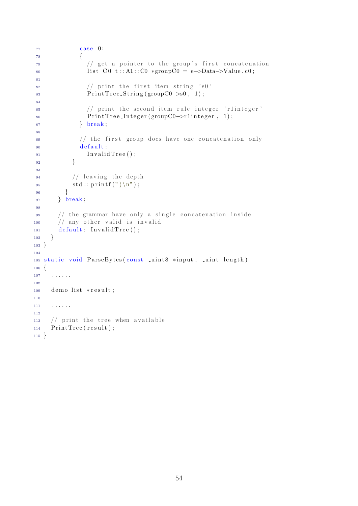```
77 case 0:
 78 {
\frac{79}{79} // get a pointer to the group's first concatenation
80 l i s t _C 0 _ t : : A1 : : C0 *groupC0 = e->Data->Value . c0;
81
\frac{1}{2} // print the first item string 's0'
83 \qquad \qquad \text{PrintTree\_String} (\text{group} \text{CO} \rightarrow 80, 1);84
\frac{1}{2} // print the second item rule integer 'rlinteger'
86 Print Tree_Integer (groupC0->r1integer, 1);
87 } break;
88
\frac{s}{l} // the first group does have one concatenation only
90 default:
\text{ln } \text{validTree}();
 92 }
93\frac{94}{7} leaving the depth
95 \text{std}::\text{print}(")\n\backslash n" ;96 }
97 } break;
98
99 // the grammar have only a single concatenation inside
100 // any other valid is invalid
_{101} default: InvalidTree ();
102 }
103 }
104
105 static void ParseBytes (const _uint8 *input, _uint length)
106 \begin{array}{c} 1 \end{array}107 . . . . . .
108
109 demo_list *result;
110
111 . . . . . . .
112
113 // print the tree when available
114 PrintTree (result);
115 }
```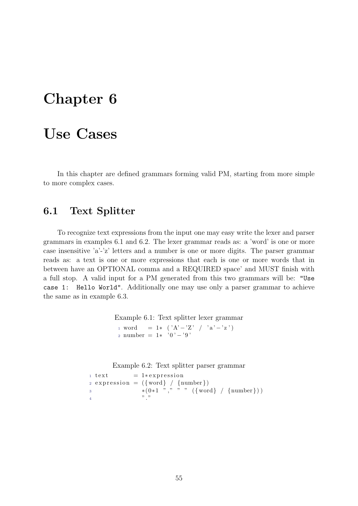# <span id="page-55-0"></span>Chapter 6

# Use Cases

In this chapter are defined grammars forming valid PM, starting from more simple to more complex cases.

## <span id="page-55-1"></span>6.1 Text Splitter

To recognize text expressions from the input one may easy write the lexer and parser grammars in examples [6.1](#page-55-2) and [6.2.](#page-55-3) The lexer grammar reads as: a 'word' is one or more case insensitive 'a'-'z' letters and a number is one or more digits. The parser grammar reads as: a text is one or more expressions that each is one or more words that in between have an OPTIONAL comma and a REQUIRED space' and MUST finish with a full stop. A valid input for a PM generated from this two grammars will be: "Use case 1: Hello World". Additionally one may use only a parser grammar to achieve the same as in example [6.3.](#page-56-1)

> <span id="page-55-2"></span>Example 6.1: Text splitter lexer grammar 1 word = 1\*  $('A'-'Z' / 'a'-'z')$ 2 number =  $1*$  '0' - '9'

<span id="page-55-3"></span>Example 6.2: Text splitter parser grammar

```
1 \text{ text} = 1*expression2 expression = ({\text{word}} / {\text{number}})3 *(0*1 "," " " " ({word} / {number} ))4 ". "
```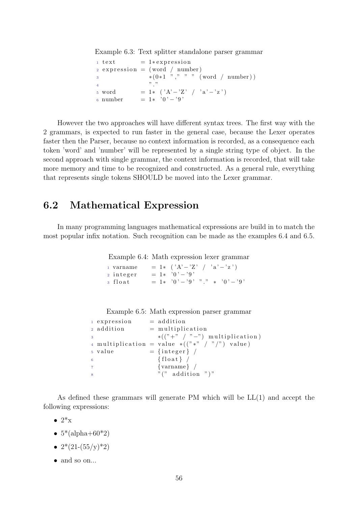<span id="page-56-1"></span>Example 6.3: Text splitter standalone parser grammar

|                |                   | $1 \text{ text} = 1*expression$    |
|----------------|-------------------|------------------------------------|
|                |                   | $2$ expression = (word / number)   |
| 3              |                   | $*(0*1 "," " " (word / number))$   |
| $\overline{4}$ |                   | $22 - 22$                          |
|                | <sub>5</sub> word | $= 1*$ $( 'A' - 'Z' / 'a' - 'z' )$ |
|                | 6 number          | $= 1* 0! - 9!$                     |

However the two approaches will have different syntax trees. The first way with the 2 grammars, is expected to run faster in the general case, because the Lexer operates faster then the Parser, because no context information is recorded, as a consequence each token 'word' and 'number' will be represented by a single string type of object. In the second approach with single grammar, the context information is recorded, that will take more memory and time to be recognized and constructed. As a general rule, everything that represents single tokens SHOULD be moved into the Lexer grammar.

## <span id="page-56-0"></span>6.2 Mathematical Expression

In many programming languages mathematical expressions are build in to match the most popular infix notation. Such recognition can be made as the examples [6.4](#page-56-2) and [6.5.](#page-56-3)

<span id="page-56-2"></span>Example 6.4: Math expression lexer grammar

1 varname = 1\* ( $A' - 'Z'$  /  $a' - 'z'$ ) 2 integer =  $1*$  '0' - '9'  $\overline{\text{3} \text{ float}}$  = 1\*  $0' - 3'$ , "," \*  $0' - 3'$ 

<span id="page-56-3"></span>

| Example 6.5: Math expression parser grammar |  |  |  |
|---------------------------------------------|--|--|--|
|                                             |  |  |  |

```
1 expression = addition
_2 addition = multiplication
                *(("+" / "-") multiplication)
4 multiplication = value *(("\ast"')'") value)
5 \text{ value} = {integer} /
\{float\} /
7 \qquad \qquad \{ \text{varname} \} \neq\mathcal{C} " (" addition ")"
```
As defined these grammars will generate PM which will be LL(1) and accept the following expressions:

 $\bullet$  2<sup>\*</sup>x

- $5*(\text{alpha}+60*2)$
- $2*(21-(55/\nu)*2)$
- and so on...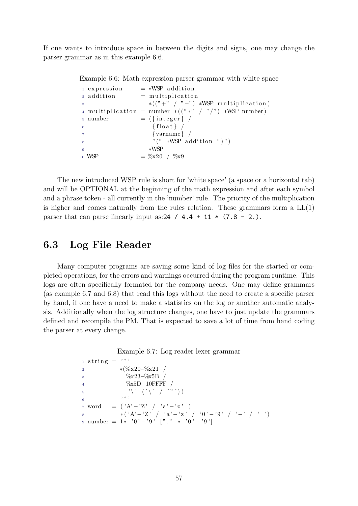If one wants to introduce space in between the digits and signs, one may change the parser grammar as in this example [6.6.](#page-57-1)

<span id="page-57-1"></span>Example 6.6: Math expression parser grammar with white space

```
1 expression = *WSP addition
_2 \text{ addition} = \text{multiplication}*(\binom{n+m}{-}, \binom{n-m}{-}) *WSP multiplication)
4 multiplication = number *(("\ast" / ")'") \ast WSP number)
5 \text{ number} = (\{\text{integer}\})6 \{ \text{float} \}7 \qquad \qquad \{ \text{varname} \} \neq\mathcal{C}" (" *WSP addition ")")
9 \starWSP
10 WSP = \%x20 / %x9
```
The new introduced WSP rule is short for 'white space' (a space or a horizontal tab) and will be OPTIONAL at the beginning of the math expression and after each symbol and a phrase token - all currently in the 'number' rule. The priority of the multiplication is higher and comes naturally from the rules relation. These grammars form a  $LL(1)$ parser that can parse linearly input as:  $24 / 4.4 + 11 * (7.8 - 2.$ ).

### <span id="page-57-0"></span>6.3 Log File Reader

Many computer programs are saving some kind of log files for the started or completed operations, for the errors and warnings occurred during the program runtime. This logs are often specifically formated for the company needs. One may define grammars (as example [6.7](#page-57-2) and [6.8\)](#page-58-1) that read this logs without the need to create a specific parser by hand, if one have a need to make a statistics on the log or another automatic analysis. Additionally when the log structure changes, one have to just update the grammars defined and recompile the PM. That is expected to save a lot of time from hand coding the parser at every change.

<span id="page-57-2"></span>

```
_1 string = '"
2 *(\% \times 20 - \% \times 21)3 %x23−%x5B /
4 %x5D−10FFFF /
\mathbf{5} \langle \setminus, \setminus, \setminus, \setminus, \setminus, \setminus \rangle6 ' " '
7 word = (^{\circ}A^{\prime} - ^{\circ}Z^{\prime} / ^{\circ}a^{\prime} - ^{\circ}z^{\prime} )
8 *( 'A' - 'Z' )' / 'a' - 'z' / '0' - '9' / ' - ' ' ' '')9 number = 1* '0' - '9' ["." * '0' - '9']
```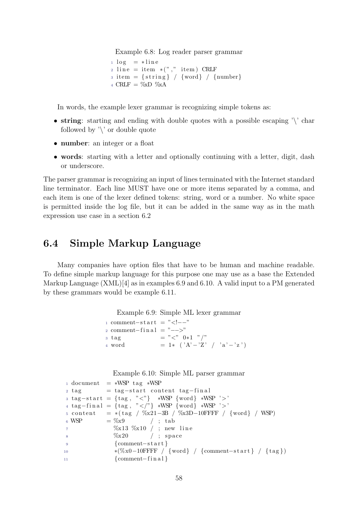<span id="page-58-1"></span>Example 6.8: Log reader parser grammar

 $_1 \log = * \text{line}$  $_2$  line = item \*("," item) CRLF  $\sigma$  item = {string} / {word} / {number}  $_4$  CRLF =  $\%\!\text{xD}\space\% \text{xA}$ 

In words, the example lexer grammar is recognizing simple tokens as:

- string: starting and ending with double quotes with a possible escaping '\' char followed by  $\vee$  or double quote
- **number**: an integer or a float
- words: starting with a letter and optionally continuing with a letter, digit, dash or underscore.

The parser grammar is recognizing an input of lines terminated with the Internet standard line terminator. Each line MUST have one or more items separated by a comma, and each item is one of the lexer defined tokens: string, word or a number. No white space is permitted inside the log file, but it can be added in the same way as in the math expression use case in a section [6.2](#page-56-0)

## <span id="page-58-0"></span>6.4 Simple Markup Language

Many companies have option files that have to be human and machine readable. To define simple markup language for this purpose one may use as a base the Extended Markup Language  $(XML)[4]$  $(XML)[4]$  as in examples [6.9](#page-58-2) and [6.10.](#page-58-3) A valid input to a PM generated by these grammars would be example [6.11.](#page-59-1)

<span id="page-58-2"></span>Example 6.9: Simple ML lexer grammar

| $\frac{1}{1}$ comment-start = " "</th><th></th></tr><tr><th><math>\alpha</math> comment-final = " " |                                    |
|-----------------------------------------------------------------------------------------------------|------------------------------------|
| <sub>3</sub> tag                                                                                    | $=$ " $\lt$ " 0*1 "/"              |
| 4 word                                                                                              | $= 1*$ $( 'A' - 'Z' / 'a' - 'z' )$ |

<span id="page-58-3"></span>Example 6.10: Simple ML parser grammar

```
_1 document = *WSP tag *WSP
2 \text{ tag} = tag-start content tag-final
\sigma s tag-start = {tag, "<"} *WSP {word} *WSP '>'
4 tag−final = {tag, "</"} *WSP {word} *WSP '>'
5 content = *(tag / %x21-3B / %x3D-10FFFF / {word} / WSP)6 WSP = %x9 / ; tab
\%x13 \%x10 ; new line
8 \%x20 / ; space
9 {comment−s t a r t }
10 ∗(%x0−10FFFF / {word} / {comment−s t a r t } / { t a g })
11 {comment−fin a l }
```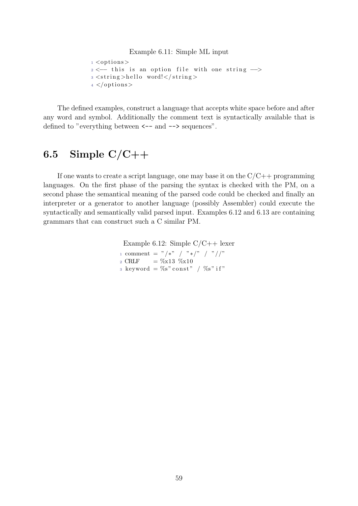#### <span id="page-59-1"></span>Example 6.11: Simple ML input

```
1 <options>
2 \le - this is an option file with one string -\rightarrow3 \leqstring >hello word!\lt/string >
4 </options>
```
The defined examples, construct a language that accepts white space before and after any word and symbol. Additionally the comment text is syntactically available that is defined to "everything between  $\leftarrow$  and  $\leftarrow$  sequences".

# <span id="page-59-0"></span>6.5 Simple  $C/C++$

If one wants to create a script language, one may base it on the  $C/C++$  programming languages. On the first phase of the parsing the syntax is checked with the PM, on a second phase the semantical meaning of the parsed code could be checked and finally an interpreter or a generator to another language (possibly Assembler) could execute the syntactically and semantically valid parsed input. Examples [6.12](#page-59-2) and [6.13](#page-60-0) are containing grammars that can construct such a C similar PM.

> <span id="page-59-2"></span>Example 6.12: Simple  $C/C++$  lexer 1 comment = "/\*" / "\*/" / "//" 2 CRLF =  $\%x13$   $\%x10$  $_3$  keyword = %s" const" / %s" if"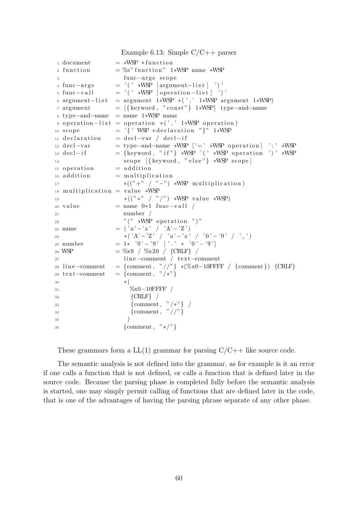<span id="page-60-0"></span>Example 6.13: Simple C/C++ parser  $1$  document = \*WSP \* function 2 function = %s" function" 1\*WSP name \*WSP 3 func−args scope  $4 \text{ func-args}$  = '( ' \*WSP [ $\text{argument-list}$ ] ') '  $5 \text{ func}-\text{call} = '(' \ast WSP [operation-list ]'')'$ 6 argument -list = argument 1∗WSP \*(',' 1∗WSP argument 1∗WSP)  $7 \text{ argument} = [{\text{keyword}, "const"}] 1*WSP \text{ type-and-name}}$ <sup>8</sup> type−and−name = name 1∗WSP name 9 operation  $-$ list = operation \*(',' 1\*WSP operation) 10 scope  $=$  '{' WSP \*declaration "}" 1\*WSP  $11$  declaration = decl-var / decl-if  $12 \text{ decl}-var$  = type−and−name \*WSP ['=' \*WSP operation ] '; \*WSP  $13 \text{ decl}-if$  = {keyword, "if"} \*WSP '(' \*WSP operation ')' \*WSP 14 scope  $\{\text{keyword}, \text{ "else"}\} \cdot \text{WSP scope}$  $_{15}$  operation  $=$  addition  $_{16}$  addition = multiplication 17  $*(\binom{n+m}{-} \cdot \binom{n-m}{+} * WSP \text{ multiplication})$  $_{18}$  multiplication = value \*WSP 19  $*(\binom{n}{*}, \binom{n}{*}, \binom{n}{*}, \binom{n}{*}$  \*WSP value \*WSP)  $20 \text{ value}$  = name  $0*1 \text{ func}-\text{call}$ <sup>21</sup> number / 22 "  $" (" \ast WSP operation " )"$ 23 name  $= (a - a') z' + (b - a') z' + (c - a') z'$  $_{24}$  ∗ ( 'A'  $-$  'Z ' / 'a '  $-$  'z ' / '0 '  $-$  '9 ' / '  $\cdot$  ') 25 number = 1\*  $'0' - ?9'$   $'$ .  $' *$   $'0' - ?9'$ 26 WSP  $= \%x9 / %x20 / {CRLF} /$ 27 line –comment / text–comment 28 line –comment = {comment, "//"} \*(%x0–10FFFF / {comment}) {CRLF} 29 text–comment = {comment, "/\*"}  $30 \times ($ <sup>31</sup> %x0−10FFFF /  $32 \qquad \qquad \{CRLF\}$  / <sup>33</sup> {comment , "/∗"} /  $34 \qquad {\text{Comment, }} " //" }$  $\frac{35}{2}$  ) <sup>36</sup> {comment , "∗/"}

These grammars form a  $LL(1)$  grammar for parsing  $C/C++$  like source code.

The semantic analysis is not defined into the grammar, as for example is it an error if one calls a function that is not defined, or calls a function that is defined later in the source code. Because the parsing phase is completed fully before the semantic analysis is started, one may simply permit calling of functions that are defined later in the code, that is one of the advantages of having the parsing phrase separate of any other phase.